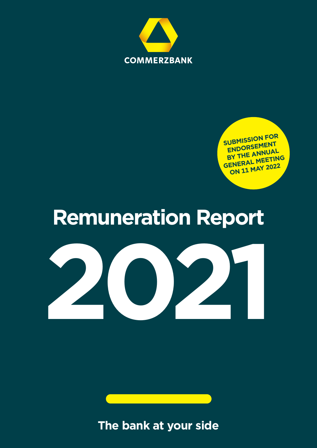



# **Remuneration Report**



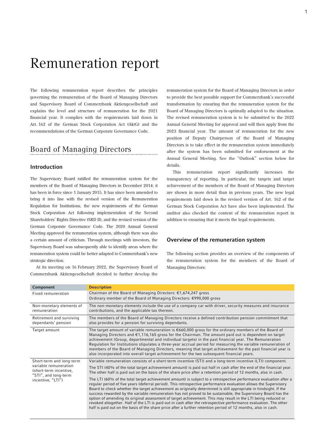# Remuneration report

The following remuneration report describes the principles governing the remuneration of the Board of Managing Directors and Supervisory Board of Commerzbank Aktiengesellschaft and explains the level and structure of remuneration for the 2021 financial year. It complies with the requirements laid down in Art. 162 of the German Stock Corporation Act (AktG) and the recommendations of the German Corporate Governance Code.

### Board of Managing Directors

#### Introduction

The Supervisory Board ratified the remuneration system for the members of the Board of Managing Directors in December 2014; it has been in force since 1 January 2015. It has since been amended to bring it into line with the revised version of the Remuneration Regulation for Institutions, the new requirements of the German Stock Corporation Act following implementation of the Second Shareholders' Rights Directive (SRD II), and the revised version of the German Corporate Governance Code. The 2020 Annual General Meeting approved the remuneration system, although there was also a certain amount of criticism. Through meetings with investors, the Supervisory Board was subsequently able to identify areas where the remuneration system could be better adapted to Commerzbank's new strategic direction.

At its meeting on 16 February 2022, the Supervisory Board of Commerzbank Aktiengesellschaft decided to further develop the

remuneration system for the Board of Managing Directors in order to provide the best possible support for Commerzbank's successful transformation by ensuring that the remuneration system for the Board of Managing Directors is optimally adapted to the situation. The revised remuneration system is to be submitted to the 2022 Annual General Meeting for approval and will then apply from the 2023 financial year. The amount of remuneration for the new position of Deputy Chairperson of the Board of Managing Directors is to take effect in the remuneration system immediately after the system has been submitted for endorsement at the Annual General Meeting. See the "Outlook" section below for details.

This remuneration report significantly increases the transparency of reporting. In particular, the targets and target achievement of the members of the Board of Managing Directors are shown in more detail than in previous years. The new legal requirements laid down in the revised version of Art. 162 of the German Stock Corporation Act have also been implemented. The auditor also checked the content of the remuneration report in addition to ensuring that it meets the legal requirements.

#### Overview of the remuneration system

The following section provides an overview of the components of the remuneration system for the members of the Board of Managing Directors:

| Component                                                                                                                | <b>Description</b>                                                                                                                                                                                                                                                                                                                                                                                                                                                                                                                                                                                                                                                                                                                                                                                                                                                                                                                                                                                                                                                                                                                                                                      |
|--------------------------------------------------------------------------------------------------------------------------|-----------------------------------------------------------------------------------------------------------------------------------------------------------------------------------------------------------------------------------------------------------------------------------------------------------------------------------------------------------------------------------------------------------------------------------------------------------------------------------------------------------------------------------------------------------------------------------------------------------------------------------------------------------------------------------------------------------------------------------------------------------------------------------------------------------------------------------------------------------------------------------------------------------------------------------------------------------------------------------------------------------------------------------------------------------------------------------------------------------------------------------------------------------------------------------------|
| Fixed remuneration                                                                                                       | Chairman of the Board of Managing Directors: €1,674,247 gross<br>Ordinary member of the Board of Managing Directors: €990,000 gross                                                                                                                                                                                                                                                                                                                                                                                                                                                                                                                                                                                                                                                                                                                                                                                                                                                                                                                                                                                                                                                     |
| Non-monetary elements of<br>remuneration                                                                                 | The non-monetary elements include the use of a company car with driver, security measures and insurance<br>contributions, and the applicable tax thereon.                                                                                                                                                                                                                                                                                                                                                                                                                                                                                                                                                                                                                                                                                                                                                                                                                                                                                                                                                                                                                               |
| Retirement and surviving<br>dependants' pension                                                                          | The members of the Board of Managing Directors receive a defined contribution pension commitment that<br>also provides for a pension for surviving dependants.                                                                                                                                                                                                                                                                                                                                                                                                                                                                                                                                                                                                                                                                                                                                                                                                                                                                                                                                                                                                                          |
| Target amount                                                                                                            | The target amount of variable remuneration is $660,000$ gross for the ordinary members of the Board of<br>Managing Directors and $\epsilon$ 1,116,165 gross for the Chairman. The amount paid out is dependent on target<br>achievement (Group, departmental and individual targets) in the past financial year. The Remuneration<br>Requlation for Institutions stipulates a three-year accrual period for measuring the variable remuneration of<br>members of the Board of Managing Directors, meaning that target achievement for the past financial year is<br>also incorporated into overall target achievement for the two subsequent financial years.                                                                                                                                                                                                                                                                                                                                                                                                                                                                                                                           |
| Short-term and long-term<br>variable remuneration<br>(short-term incentive,<br>"STI", and long-term<br>incentive, "LTI") | Variable remuneration consists of a short-term incentive (STI) and a long-term incentive (LTI) component.<br>The STI (40% of the total target achievement amount) is paid out half in cash after the end of the financial year.<br>The other half is paid out on the basis of the share price after a retention period of 12 months, also in cash.<br>The LTI (60% of the total target achievement amount) is subject to a retrospective performance evaluation after a<br>regular period of five years (deferral period). This retrospective performance evaluation allows the Supervisory<br>Board to check whether the target achievement as originally determined is still appropriate in hindsight. If the<br>success rewarded by the variable remuneration has not proved to be sustainable, the Supervisory Board has the<br>option of amending its original assessment of target achievement. This may result in the LTI being reduced or<br>revoked altogether. Half of the LTI is paid out in cash after the retrospective performance evaluation. The other<br>half is paid out on the basis of the share price after a further retention period of 12 months, also in cash. |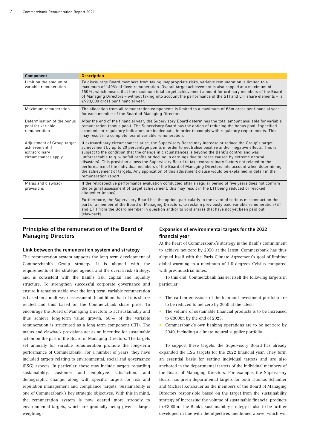| Component                                                                            | <b>Description</b>                                                                                                                                                                                                                                                                                                                                                                                                                                                                                                                                                                                                                                                                                                                                                                      |
|--------------------------------------------------------------------------------------|-----------------------------------------------------------------------------------------------------------------------------------------------------------------------------------------------------------------------------------------------------------------------------------------------------------------------------------------------------------------------------------------------------------------------------------------------------------------------------------------------------------------------------------------------------------------------------------------------------------------------------------------------------------------------------------------------------------------------------------------------------------------------------------------|
| Limit on the amount of<br>variable remuneration                                      | To discourage Board members from taking inappropriate risks, variable remuneration is limited to a<br>maximum of 140% of fixed remuneration. Overall target achievement is also capped at a maximum of<br>150%, which means that the maximum total target achievement amount for ordinary members of the Board<br>of Managing Directors – without taking into account the performance of the STI and LTI share elements – is<br>€990,000 gross per financial year.                                                                                                                                                                                                                                                                                                                      |
| Maximum remuneration                                                                 | The allocation from all remuneration components is limited to a maximum of $\epsilon$ 6m gross per financial year<br>for each member of the Board of Managing Directors.                                                                                                                                                                                                                                                                                                                                                                                                                                                                                                                                                                                                                |
| Determination of the bonus<br>pool for variable<br>remuneration                      | After the end of the financial year, the Supervisory Board determines the total amount available for variable<br>remuneration (bonus pool). The Supervisory Board has the option of reducing the bonus pool if specified<br>economic or regulatory indicators are inadequate, in order to comply with regulatory reguirements. This<br>may result in a complete loss of variable remuneration.                                                                                                                                                                                                                                                                                                                                                                                          |
| Adjustment of Group target<br>achievement if<br>extraordinary<br>circumstances apply | If extraordinary circumstances arise, the Supervisory Board may increase or reduce the Group's target<br>achievement by up to 20 percentage points in order to neutralise positive and/or negative effects. This is<br>subject to the condition that the change in circumstances is beyond the Bank's control and was<br>unforeseeable (e.g. windfall profits or decline in earnings due to losses caused by extreme natural<br>disasters). This provision allows the Supervisory Board to take extraordinary factors not related to the<br>performance of the individual members of the Board of Managing Directors into account when determining<br>the achievement of targets. Any application of this adjustment clause would be explained in detail in the<br>remuneration report. |
| Malus and clawback<br>provisions                                                     | If the retrospective performance evaluation conducted after a regular period of five years does not confirm<br>the original assessment of target achievement, this may result in the LTI being reduced or revoked<br>altogether (malus).                                                                                                                                                                                                                                                                                                                                                                                                                                                                                                                                                |
|                                                                                      | Furthermore, the Supervisory Board has the option, particularly in the event of serious misconduct on the<br>part of a member of the Board of Managing Directors, to reclaim previously paid variable remuneration (STI<br>and LTI) from the Board member in question and/or to void shares that have not yet been paid out<br>(clawback).                                                                                                                                                                                                                                                                                                                                                                                                                                              |

#### Principles of the remuneration of the Board of Managing Directors

#### Link between the remuneration system and strategy

The remuneration system supports the long-term development of Commerzbank's Group strategy. It is aligned with the requirements of the strategic agenda and the overall risk strategy, and is consistent with the Bank's risk, capital and liquidity structure. To strengthen successful corporate governance and ensure it remains stable over the long term, variable remuneration is based on a multi-year assessment. In addition, half of it is sharerelated and thus based on the Commerzbank share price. To encourage the Board of Managing Directors to act sustainably and thus achieve long-term value growth, 60% of the variable remuneration is structured as a long-term component (LTI). The malus and clawback provisions act as an incentive for sustainable action on the part of the Board of Managing Directors. The targets set annually for variable remuneration promote the long-term performance of Commerzbank. For a number of years, they have included targets relating to environmental, social and governance (ESG) aspects. In particular, these may include targets regarding sustainability, customer and employee satisfaction, and demographic change, along with specific targets for risk and reputation management and compliance targets. Sustainability is one of Commerzbank's key strategic objectives. With this in mind, the remuneration system is now geared more strongly to environmental targets, which are gradually being given a larger weighting.

#### Expansion of environmental targets for the 2022 financial year

At the heart of Commerzbank's strategy is the Bank's commitment to achieve net zero by 2050 at the latest. Commerzbank has thus aligned itself with the Paris Climate Agreement's goal of limiting global warming to a maximum of 1.5 degrees Celsius compared with pre-industrial times.

To this end, Commerzbank has set itself the following targets in particular:

- The carbon emissions of the loan and investment portfolio are to be reduced to net zero by 2050 at the latest.
- The volume of sustainable financial products is to be increased to €300bn by the end of 2025.
- Commerzbank's own banking operations are to be net zero by 2040, including a climate-neutral supplier portfolio.

To support these targets, the Supervisory Board has already expanded the ESG targets for the 2022 financial year. They form an essential basis for setting individual targets and are also anchored in the departmental targets of the individual members of the Board of Managing Directors. For example, the Supervisory Board has given departmental targets for both Thomas Schaufler and Michael Kotzbauer as the members of the Board of Managing Directors responsible based on the target from the sustainability strategy of increasing the volume of sustainable financial products to €300bn. The Bank's sustainability strategy is also to be further developed in line with the objectives mentioned above, which will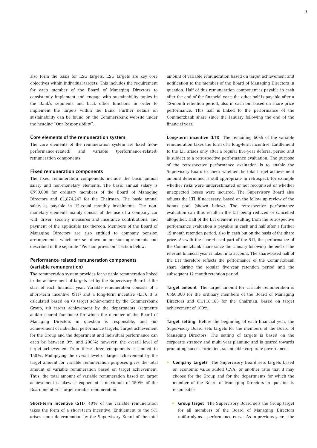also form the basis for ESG targets. ESG targets are key core objectives within individual targets. This includes the requirement for each member of the Board of Managing Directors to consistently implement and engage with sustainability topics in the Bank's segments and back office functions in order to implement the targets within the Bank. Further details on sustainability can be found on the Commerzbank website under the heading "Our Responsibility".

#### Core elements of the remuneration system

The core elements of the remuneration system are fixed (nonperformance-related) and variable (performance-related) remuneration components.

#### Fixed remuneration components

The fixed remuneration components include the basic annual salary and non-monetary elements. The basic annual salary is €990,000 for ordinary members of the Board of Managing Directors and  $€1,674,247$  for the Chairman. The basic annual salary is payable in 12 equal monthly instalments. The nonmonetary elements mainly consist of the use of a company car with driver, security measures and insurance contributions, and payment of the applicable tax thereon. Members of the Board of Managing Directors are also entitled to company pension arrangements, which are set down in pension agreements and described in the separate "Pension provision" section below.

#### Performance-related remuneration components (variable remuneration)

The remuneration system provides for variable remuneration linked to the achievement of targets set by the Supervisory Board at the start of each financial year. Variable remuneration consists of a short-term incentive (STI) and a long-term incentive (LTI). It is calculated based on (i) target achievement by the Commerzbank Group, (ii) target achievement by the departments (segments and/or shared functions) for which the member of the Board of Managing Directors in question is responsible, and (iii) achievement of individual performance targets. Target achievement for the Group and the department and individual performance can each be between 0% and 200%; however, the overall level of target achievement from these three components is limited to 150%. Multiplying the overall level of target achievement by the target amount for variable remuneration purposes gives the total amount of variable remuneration based on target achievement. Thus, the total amount of variable remuneration based on target achievement is likewise capped at a maximum of 150% of the Board member's target variable remuneration.

Short-term incentive (STI) 40% of the variable remuneration takes the form of a short-term incentive. Entitlement to the STI arises upon determination by the Supervisory Board of the total amount of variable remuneration based on target achievement and notification to the member of the Board of Managing Directors in question. Half of this remuneration component is payable in cash after the end of the financial year; the other half is payable after a 12-month retention period, also in cash but based on share price performance. This half is linked to the performance of the Commerzbank share since the January following the end of the financial year.

Long-term incentive (LTI) The remaining 60% of the variable remuneration takes the form of a long-term incentive. Entitlement to the LTI arises only after a regular five-year deferral period and is subject to a retrospective performance evaluation. The purpose of the retrospective performance evaluation is to enable the Supervisory Board to check whether the total target achievement amount determined is still appropriate in retrospect, for example whether risks were underestimated or not recognised or whether unexpected losses were incurred. The Supervisory Board also adjusts the LTI, if necessary, based on the follow-up review of the bonus pool (shown below). The retrospective performance evaluation can thus result in the LTI being reduced or cancelled altogether. Half of the LTI element resulting from the retrospective performance evaluation is payable in cash and half after a further 12-month retention period, also in cash but on the basis of the share price. As with the share-based part of the STI, the performance of the Commerzbank share since the January following the end of the relevant financial year is taken into account. The share-based half of the LTI therefore reflects the performance of the Commerzbank share during the regular five-year retention period and the subsequent 12-month retention period.

Target amount The target amount for variable remuneration is €660,000 for the ordinary members of the Board of Managing Directors and €1,116,165 for the Chairman, based on target achievement of 100%.

Target setting Before the beginning of each financial year, the Supervisory Board sets targets for the members of the Board of Managing Directors. The setting of targets is based on the corporate strategy and multi-year planning and is geared towards promoting success-oriented, sustainable corporate governance:

- Company targets The Supervisory Board sets targets based on economic value added (EVA) or another ratio that it may choose for the Group and for the departments for which the member of the Board of Managing Directors in question is responsible.
	- Group target The Supervisory Board sets the Group target for all members of the Board of Managing Directors uniformly as a performance curve. As in previous years, the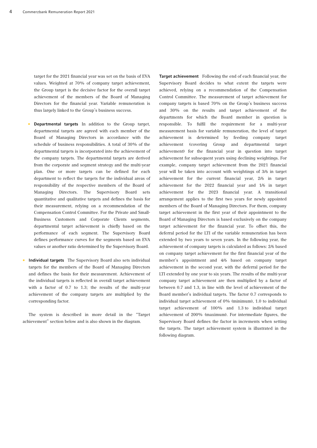target for the 2021 financial year was set on the basis of EVA values. Weighted at 70% of company target achievement, the Group target is the decisive factor for the overall target achievement of the members of the Board of Managing Directors for the financial year. Variable remuneration is thus largely linked to the Group's business success.

- Departmental targets In addition to the Group target, departmental targets are agreed with each member of the Board of Managing Directors in accordance with the schedule of business responsibilities. A total of 30% of the departmental targets is incorporated into the achievement of the company targets. The departmental targets are derived from the corporate and segment strategy and the multi-year plan. One or more targets can be defined for each department to reflect the targets for the individual areas of responsibility of the respective members of the Board of Managing Directors. The Supervisory Board sets quantitative and qualitative targets and defines the basis for their measurement, relying on a recommendation of the Compensation Control Committee. For the Private and Small-Business Customers and Corporate Clients segments, departmental target achievement is chiefly based on the performance of each segment. The Supervisory Board defines performance curves for the segments based on EVA values or another ratio determined by the Supervisory Board.
- Individual targets The Supervisory Board also sets individual targets for the members of the Board of Managing Directors and defines the basis for their measurement. Achievement of the individual targets is reflected in overall target achievement with a factor of 0.7 to 1.3; the results of the multi-year achievement of the company targets are multiplied by the corresponding factor.

The system is described in more detail in the "Target achievement" section below and is also shown in the diagram.

Target achievement Following the end of each financial year, the Supervisory Board decides to what extent the targets were achieved, relying on a recommendation of the Compensation Control Committee. The measurement of target achievement for company targets is based 70% on the Group's business success and 30% on the results and target achievement of the departments for which the Board member in question is responsible. To fulfil the requirement for a multi-year measurement basis for variable remuneration, the level of target achievement is determined by feeding company target achievement (covering Group and departmental target achievement) for the financial year in question into target achievement for subsequent years using declining weightings. For example, company target achievement from the 2021 financial year will be taken into account with weightings of 3/6 in target achievement for the current financial year, 2/6 in target achievement for the 2022 financial year and 1/6 in target achievement for the 2023 financial year. A transitional arrangement applies to the first two years for newly appointed members of the Board of Managing Directors. For them, company target achievement in the first year of their appointment to the Board of Managing Directors is based exclusively on the company target achievement for the financial year. To offset this, the deferral period for the LTI of the variable remuneration has been extended by two years to seven years. In the following year, the achievement of company targets is calculated as follows: 2/6 based on company target achievement for the first financial year of the member's appointment and 4/6 based on company target achievement in the second year, with the deferral period for the LTI extended by one year to six years. The results of the multi-year company target achievement are then multiplied by a factor of between 0.7 and 1.3, in line with the level of achievement of the Board member's individual targets. The factor 0.7 corresponds to individual target achievement of 0% (minimum), 1.0 to individual target achievement of 100% and 1.3 to individual target achievement of 200% (maximum). For intermediate figures, the Supervisory Board defines the factor in increments when setting the targets. The target achievement system is illustrated in the following diagram.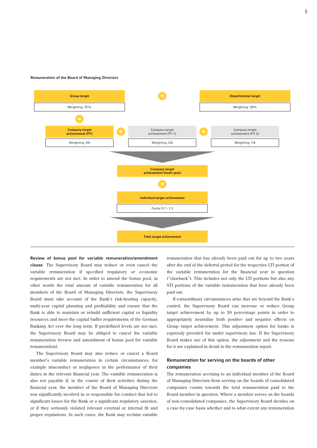

Remuneration of the Board of Managing Directors

Review of bonus pool for variable remuneration/amendment clause The Supervisory Board may reduce or even cancel the variable remuneration if specified regulatory or economic requirements are not met. In order to amend the bonus pool, in other words the total amount of variable remuneration for all members of the Board of Managing Directors, the Supervisory Board must take account of the Bank's risk-bearing capacity, multi-year capital planning and profitability and ensure that the Bank is able to maintain or rebuild sufficient capital or liquidity resources and meet the capital buffer requirements of the German Banking Act over the long term. If predefined levels are not met, the Supervisory Board may be obliged to cancel the variable remuneration (review and amendment of bonus pool for variable remuneration).

The Supervisory Board may also reduce or cancel a Board member's variable remuneration in certain circumstances, for example misconduct or negligence in the performance of their duties in the relevant financial year. The variable remuneration is also not payable if, in the course of their activities during the financial year, the member of the Board of Managing Directors was significantly involved in or responsible for conduct that led to significant losses for the Bank or a significant regulatory sanction, or if they seriously violated relevant external or internal fit and proper regulations. In such cases, the Bank may reclaim variable

remuneration that has already been paid out for up to two years after the end of the deferral period for the respective LTI portion of the variable remuneration for the financial year in question ("clawback"). This includes not only the LTI portions but also any STI portions of the variable remuneration that have already been paid out.

If extraordinary circumstances arise that are beyond the Bank's control, the Supervisory Board can increase or reduce Group target achievement by up to 20 percentage points in order to appropriately neutralise both positive and negative effects on Group target achievement. This adjustment option for banks is expressly provided for under supervisory law. If the Supervisory Board makes use of this option, the adjustment and the reasons for it are explained in detail in the remuneration report.

#### Remuneration for serving on the boards of other companies

The remuneration accruing to an individual member of the Board of Managing Directors from serving on the boards of consolidated companies counts towards the total remuneration paid to the Board member in question. Where a member serves on the boards of non-consolidated companies, the Supervisory Board decides on a case-by-case basis whether and to what extent any remuneration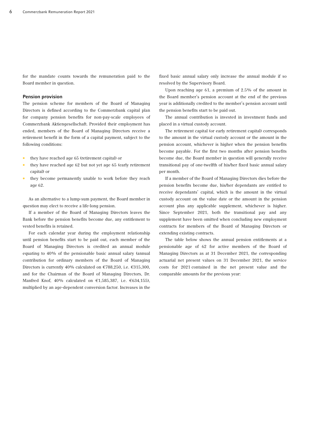for the mandate counts towards the remuneration paid to the Board member in question.

#### Pension provision

The pension scheme for members of the Board of Managing Directors is defined according to the Commerzbank capital plan for company pension benefits for non-pay-scale employees of Commerzbank Aktiengesellschaft. Provided their employment has ended, members of the Board of Managing Directors receive a retirement benefit in the form of a capital payment, subject to the following conditions:

- they have reached age 65 (retirement capital) or
- they have reached age 62 but not yet age 65 (early retirement capital) or
- they become permanently unable to work before they reach age 62.

As an alternative to a lump-sum payment, the Board member in question may elect to receive a life-long pension.

If a member of the Board of Managing Directors leaves the Bank before the pension benefits become due, any entitlement to vested benefits is retained.

For each calendar year during the employment relationship until pension benefits start to be paid out, each member of the Board of Managing Directors is credited an annual module equating to 40% of the pensionable basic annual salary (annual contribution for ordinary members of the Board of Managing Directors is currently 40% calculated on  $\epsilon$ 788,250, i.e.  $\epsilon$ 315,300, and for the Chairman of the Board of Managing Directors, Dr. Manfred Knof, 40% calculated on €1,585,387, i.e. €634,155), multiplied by an age-dependent conversion factor. Increases in the

fixed basic annual salary only increase the annual module if so resolved by the Supervisory Board.

Upon reaching age 61, a premium of 2.5% of the amount in the Board member's pension account at the end of the previous year is additionally credited to the member's pension account until the pension benefits start to be paid out.

The annual contribution is invested in investment funds and placed in a virtual custody account.

The retirement capital (or early retirement capital) corresponds to the amount in the virtual custody account or the amount in the pension account, whichever is higher when the pension benefits become payable. For the first two months after pension benefits become due, the Board member in question will generally receive transitional pay of one-twelfth of his/her fixed basic annual salary per month.

If a member of the Board of Managing Directors dies before the pension benefits become due, his/her dependants are entitled to receive dependants' capital, which is the amount in the virtual custody account on the value date or the amount in the pension account plus any applicable supplement, whichever is higher. Since September 2021, both the transitional pay and any supplement have been omitted when concluding new employment contracts for members of the Board of Managing Directors or extending existing contracts.

The table below shows the annual pension entitlements at a pensionable age of 62 for active members of the Board of Managing Directors as at 31 December 2021, the corresponding actuarial net present values on 31 December 2021, the service costs for 2021 contained in the net present value and the comparable amounts for the previous year: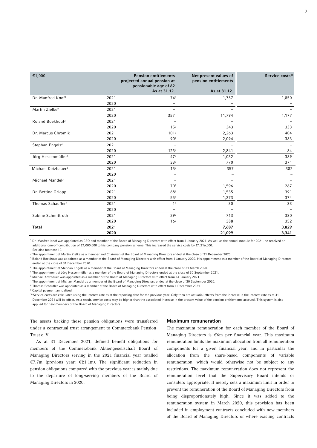| €1,000                         |      | <b>Pension entitlements</b><br>projected annual pension at<br>pensionable age of 62 | Net present values of<br>pension entitlements | Service costs <sup>10</sup> |
|--------------------------------|------|-------------------------------------------------------------------------------------|-----------------------------------------------|-----------------------------|
|                                |      | As at 31.12.                                                                        | As at 31.12.                                  |                             |
| Dr. Manfred Knof <sup>1</sup>  | 2021 | 749                                                                                 | 1,757                                         | 1,850                       |
|                                | 2020 |                                                                                     |                                               |                             |
| Martin Zielke <sup>2</sup>     | 2021 |                                                                                     |                                               |                             |
|                                | 2020 | 357                                                                                 | 11,794                                        | 1,177                       |
| Roland Boekhout <sup>3</sup>   | 2021 |                                                                                     |                                               |                             |
|                                | 2020 | 15 <sup>9</sup>                                                                     | 343                                           | 333                         |
| Dr. Marcus Chromik             | 2021 | 1019                                                                                | 2,263                                         | 404                         |
|                                | 2020 | 90 <sup>9</sup>                                                                     | 2,094                                         | 383                         |
| Stephan Engels <sup>4</sup>    | 2021 | $\overline{\phantom{m}}$                                                            |                                               |                             |
|                                | 2020 | 123 <sup>9</sup>                                                                    | 2,841                                         | 84                          |
| Jörg Hessenmüller <sup>5</sup> | 2021 | 479                                                                                 | 1,032                                         | 389                         |
|                                | 2020 | 33 <sup>9</sup>                                                                     | 770                                           | 371                         |
| Michael Kotzbauer <sup>6</sup> | 2021 | 15 <sup>9</sup>                                                                     | 357                                           | 382                         |
|                                | 2020 |                                                                                     |                                               |                             |
| Michael Mandel <sup>7</sup>    | 2021 | $\overline{\phantom{m}}$                                                            | $\overline{\phantom{0}}$                      |                             |
|                                | 2020 | 709                                                                                 | 1,596                                         | 267                         |
| Dr. Bettina Orlopp             | 2021 | 689                                                                                 | 1,535                                         | 391                         |
|                                | 2020 | 559                                                                                 | 1,273                                         | 374                         |
| Thomas Schaufler <sup>8</sup>  | 2021 | 1 <sup>9</sup>                                                                      | 30                                            | 33                          |
|                                | 2020 |                                                                                     |                                               |                             |
| Sabine Schmittroth             | 2021 | 29 <sup>9</sup>                                                                     | 713                                           | 380                         |
|                                | 2020 | 16 <sup>9</sup>                                                                     | 388                                           | 352                         |
| <b>Total</b>                   | 2021 |                                                                                     | 7,687                                         | 3,829                       |
|                                | 2020 |                                                                                     | 21,099                                        | 3,341                       |

1 Dr. Manfred Knof was appointed as CEO and member of the Board of Managing Directors with effect from 1 January 2021. As well as the annual module for 2021, he received an additional one-off contribution of €1,000,000 to his company pension scheme. This increased the service costs by €1,216,000. See also footnote 10.

2 The appointment of Martin Zielke as a member and Chairman of the Board of Managing Directors ended at the close of 31 December 2020.

<sup>3</sup> Roland Boekhout was appointed as a member of the Board of Managing Directors with effect from 1 January 2020. His appointment as a member of the Board of Managing Directors ended at the close of 31 December 2020.

4 The appointment of Stephan Engels as a member of the Board of Managing Directors ended at the close of 31 March 2020.

5 The appointment of Jörg Hessenmüller as a member of the Board of Managing Directors ended at the close of 30 September 2021.

6 Michael Kotzbauer was appointed as a member of the Board of Managing Directors with effect from 14 January 2021.

7 The appointment of Michael Mandel as a member of the Board of Managing Directors ended at the close of 30 September 2020.

8 Thomas Schaufler was appointed as a member of the Board of Managing Directors with effect from 1 December 2021.

9 Capital payment annualised.

10 Service costs are calculated using the interest rate as at the reporting date for the previous year. Only then are actuarial effects from the increase in the interest rate as at 31

December 2021 will be offset. As a result, service costs may be higher than the associated increase in the present value of the pension entitlements accrued. This system is also applied for new members of the Board of Managing Directors.

The assets backing these pension obligations were transferred under a contractual trust arrangement to Commerzbank Pension-Trust e. V.

As at 31 December 2021, defined benefit obligations for members of the Commerzbank Aktiengesellschaft Board of Managing Directors serving in the 2021 financial year totalled €7.7m (previous year: €21.1m). The significant reduction in pension obligations compared with the previous year is mainly due to the departure of long-serving members of the Board of Managing Directors in 2020.

#### Maximum remuneration

The maximum remuneration for each member of the Board of Managing Directors is €6m per financial year. This maximum remuneration limits the maximum allocation from all remuneration components for a given financial year, and in particular the allocation from the share-based components of variable remuneration, which would otherwise not be subject to any restrictions. The maximum remuneration does not represent the remuneration level that the Supervisory Board intends or considers appropriate. It merely sets a maximum limit in order to prevent the remuneration of the Board of Managing Directors from being disproportionately high. Since it was added to the remuneration system in March 2020, this provision has been included in employment contracts concluded with new members of the Board of Managing Directors or where existing contracts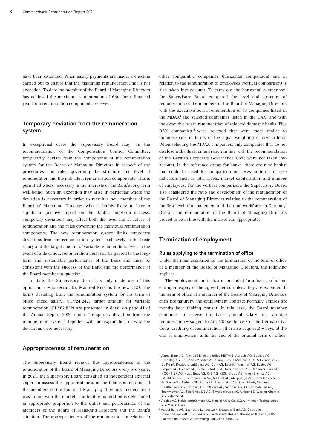have been extended. When salary payments are made, a check is carried out to ensure that the maximum remuneration limit is not exceeded. To date, no member of the Board of Managing Directors has achieved the maximum remuneration of €6m for a financial year from remuneration components received.

#### Temporary deviation from the remuneration system

In exceptional cases the Supervisory Board may, on the recommendation of the Compensation Control Committee, temporarily deviate from the components of the remuneration system for the Board of Managing Directors in respect of the procedures and rules governing the structure and level of remuneration and the individual remuneration components. This is permitted where necessary in the interests of the Bank's long-term well-being. Such an exception may arise in particular where the deviation is necessary in order to recruit a new member of the Board of Managing Directors who is highly likely to have a significant positive impact on the Bank's long-term success. Temporary deviations may affect both the level and structure of remuneration and the rules governing the individual remuneration components. The new remuneration system limits temporary deviations from the remuneration system exclusively to the basic salary and the target amount of variable remuneration. Even in the event of a deviation, remuneration must still be geared to the longterm and sustainable performance of the Bank and must be consistent with the success of the Bank and the performance of the Board member in question.

To date, the Supervisory Board has only made use of this option once – to recruit Dr. Manfred Knof as the new CEO. The terms deviating from the remuneration system for his term of office (fixed salary:  $\epsilon$ 1,924,247, target amount for variable remuneration: €1,282,832) are presented in detail on page 41 of the Annual Report 2020 under "Temporary deviation from the remuneration system" together with an explanation of why the deviations were necessary.

#### Appropriateness of remuneration

The Supervisory Board reviews the appropriateness of the remuneration of the Board of Managing Directors every two years. In 2021, the Supervisory Board consulted an independent external expert to assess the appropriateness of the total remuneration of the members of the Board of Managing Directors and ensure it was in line with the market. The total remuneration is determined in appropriate proportion to the duties and performance of the members of the Board of Managing Directors and the Bank's situation. The appropriateness of the remuneration in relation to

other comparable companies (horizontal comparison) and in relation to the remuneration of employees (vertical comparison) is also taken into account. To carry out the horizontal comparison, the Supervisory Board compared the level and structure of remuneration of the members of the Board of Managing Directors with the executive board remuneration of 43 companies listed in the MDAX<sup>1</sup> and selected companies listed in the DAX, and with the executive board remuneration of selected domestic banks. Five DAX companies<sup>2</sup> were selected that were most similar to Commerzbank in terms of the equal weighting of size criteria. When selecting the MDAX companies, only companies that do not disclose individual remuneration in line with the recommendation of the German Corporate Governance Code were not taken into account. In the reference group for banks, there are nine banks<sup>3</sup> that could be used for comparison purposes in terms of size indicators such as total assets, market capitalisation and number of employees. For the vertical comparison, the Supervisory Board also considered the ratio and development of the remuneration of the Board of Managing Directors relative to the remuneration of the first level of management and the total workforce in Germany. Overall, the remuneration of the Board of Managing Directors proved to be in line with the market and appropriate.

#### Termination of employment

#### Rules applying to the termination of office

Under the main scenarios for the termination of the term of office of a member of the Board of Managing Directors, the following applies:

The employment contracts are concluded for a fixed period and end upon expiry of the agreed period unless they are extended. If the term of office of a member of the Board of Managing Directors ends prematurely, the employment contract normally expires six months later (linking clause). In this case, the Board member continues to receive the basic annual salary and variable remuneration – subject to Art. 615 sentence 2 of the German Civil Code (crediting of remuneration otherwise acquired) – beyond the end of employment until the end of the original term of office.

<sup>1</sup> Aareal Bank AG, Aixtron SE, alstria office REIT-AG, Aurubis AG, Bechtle AG, Brenntag AG, Carl Zeiss Meditec AG, CompuGroup Medical SE, CTS Eventim AG & Co KGaA, Deutsche Lufthansa AG, Dürr AG, Evonik Industries AG, Evotec AG, Fraport AG, Freenet AG, Fuchs Petrolub SE, Gerresheimer AG, Hannover Rück SE, HOCHTIEF AG, Hugo Boss AG, K+S AG, KION Group AG, Knorr-Bremse AG, LANXESS AG, LEG Immobilien AG, METRO AG, MorphoSys AG, Nemetschek SE, ProSiebenSat.1 Media SE, Puma SE, Rheinmetall AG, Scout24 AG, Siemens Healthineers AG, Siltronic AG, Software AG, Symrise AG, TAG Immobilien AG, Teamviewer AG, Telefónica DE AG, ThyssenKrupp AG, Uniper SE, Wacker Chemie AG, Zalando SE.

<sup>&</sup>lt;sup>2</sup> Adidas AG, HeidelbergCement AG, Henkel AG & Co. KGaA, Infineon Technologies AG, Merck KGaA.

<sup>3</sup> Aareal Bank AG, Bayrische Landesbank, Deutsche Bank AG, Deutsche Pfandbriefbank AG, DZ Bank AG, Landesbank Hessen-Thüringen (Helaba), KfW, Landesbank Baden-Württemberg, UniCredit Bank AG.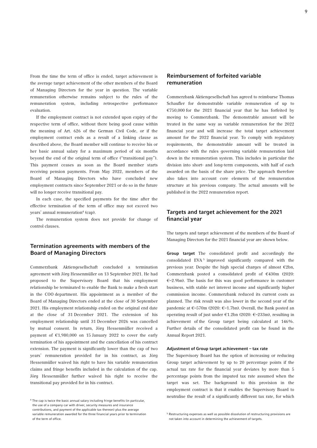From the time the term of office is ended, target achievement is the average target achievement of the other members of the Board of Managing Directors for the year in question. The variable remuneration otherwise remains subject to the rules of the remuneration system, including retrospective performance evaluation.

If the employment contract is not extended upon expiry of the respective term of office, without there being good cause within the meaning of Art. 626 of the German Civil Code, or if the employment contract ends as a result of a linking clause as described above, the Board member will continue to receive his or her basic annual salary for a maximum period of six months beyond the end of the original term of office ("transitional pay"). This payment ceases as soon as the Board member starts receiving pension payments. From May 2022, members of the Board of Managing Directors who have concluded new employment contracts since September 2021 or do so in the future will no longer receive transitional pay.

In each case, the specified payments for the time after the effective termination of the term of office may not exceed two years' annual remuneration<sup>4</sup> (cap).

The remuneration system does not provide for change of control clauses.

#### Termination agreements with members of the Board of Managing Directors

Commerzbank Aktiengesellschaft concluded a termination agreement with Jörg Hessenmüller on 13 September 2021. He had proposed to the Supervisory Board that his employment relationship be terminated to enable the Bank to make a fresh start in the COO department. His appointment as a member of the Board of Managing Directors ended at the close of 30 September 2021. His employment relationship ended on the original end date at the close of 31 December 2021. The extension of his employment relationship until 31 December 2026 was cancelled by mutual consent. In return, Jörg Hessenmüller received a payment of  $\epsilon$ 1,980,000 on 15 January 2022 to cover the early termination of his appointment and the cancellation of his contract extension. The payment is significantly lower than the cap of two years' remuneration provided for in his contract, as Jörg Hessenmüller waived his right to have his variable remuneration claims and fringe benefits included in the calculation of the cap. Jörg Hessenmüller further waived his right to receive the transitional pay provided for in his contract.

#### Reimbursement of forfeited variable remuneration

Commerzbank Aktiengesellschaft has agreed to reimburse Thomas Schaufler for demonstrable variable remuneration of up to €750,000 for the 2021 financial year that he has forfeited by moving to Commerzbank. The demonstrable amount will be treated in the same way as variable remuneration for the 2022 financial year and will increase the total target achievement amount for the 2022 financial year. To comply with regulatory requirements, the demonstrable amount will be treated in accordance with the rules governing variable remuneration laid down in the remuneration system. This includes in particular the division into short- and long-term components, with half of each awarded on the basis of the share price. The approach therefore also takes into account core elements of the remuneration structure at his previous company. The actual amounts will be published in the 2022 remuneration report.

#### Targets and target achievement for the 2021 financial year

The targets and target achievement of the members of the Board of Managing Directors for the 2021 financial year are shown below.

Group target The consolidated profit and accordingly the consolidated EVA 5 improved significantly compared with the previous year. Despite the high special charges of almost €2bn, Commerzbank posted a consolidated profit of €430m (2020: €–2.9bn). The basis for this was good performance in customer business, with stable net interest income and significantly higher commission income. Commerzbank reduced its current costs as planned. The risk result was also lower in the second year of the pandemic at  $\epsilon$ –570m (2020:  $\epsilon$ –1.7bn). Overall, the Bank posted an operating result of just under €1.2bn (2020: €–233m), resulting in achievement of the Group target being calculated at 146%. Further details of the consolidated profit can be found in the Annual Report 2021.

#### Adjustment of Group target achievement – tax rate

The Supervisory Board has the option of increasing or reducing Group target achievement by up to 20 percentage points if the actual tax rate for the financial year deviates by more than 5 percentage points from the imputed tax rate assumed when the target was set. The background to this provision in the employment contract is that it enables the Supervisory Board to neutralise the result of a significantly different tax rate, for which

<sup>&</sup>lt;sup>4</sup> The cap is twice the basic annual salary including fringe benefits (in particular, the use of a company car with driver, security measures and insurance contributions, and payment of the applicable tax thereon) plus the average variable remuneration awarded for the three financial years prior to termination of the term of office.

<sup>5</sup> Restructuring expenses as well as possible dissolution of restructuring provisions are not taken into account in determining the achievement of targets.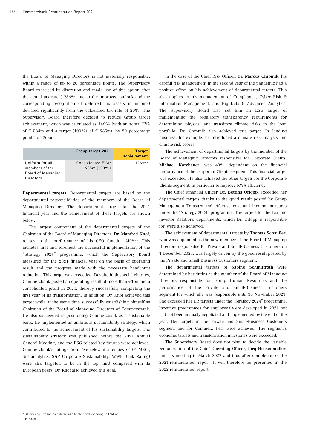the Board of Managing Directors is not materially responsible, within a range of up to 20 percentage points. The Supervisory Board exercised its discretion and made use of this option after the actual tax rate (–236% due to the improved outlook and the corresponding recognition of deferred tax assets in income) deviated significantly from the calculated tax rate of 20%. The Supervisory Board therefore decided to reduce Group target achievement, which was calculated as 146% (with an actual EVA of €-534m and a target (100%) of €-985m), by 20 percentage points to 126%.

|                                                                     | Group target 2021                  | <b>Target</b><br>achievement |
|---------------------------------------------------------------------|------------------------------------|------------------------------|
| Uniform for all<br>members of the<br>Board of Managing<br>Directors | Consolidated EVA:<br>€–985m (100%) | $126\%$ <sup>6</sup>         |

Departmental targets Departmental targets are based on the departmental responsibilities of the members of the Board of Managing Directors. The departmental targets for the 2021 financial year and the achievement of these targets are shown below:

The largest component of the departmental targets of the Chairman of the Board of Managing Directors, Dr. Manfred Knof, relates to the performance of his CEO function (40%). This includes first and foremost the successful implementation of the "Strategy 2024" programme, which the Supervisory Board measured for the 2021 financial year on the basis of operating result and the progress made with the necessary headcount reduction. This target was exceeded. Despite high special charges, Commerzbank posted an operating result of more than €1bn and a consolidated profit in 2021, thereby successfully completing the first year of its transformation. In addition, Dr. Knof achieved this target while at the same time successfully establishing himself as Chairman of the Board of Managing Directors of Commerzbank. He also succeeded in positioning Commerzbank as a sustainable bank. He implemented an ambitious sustainability strategy, which contributed to the achievement of his sustainability targets. The sustainability strategy was published before the 2021 Annual General Meeting, and the ESG-related key figures were achieved. Commerzbank's ratings from five relevant agencies (CDP, MSCI, Sustainalytics, S&P Corporate Sustainability, WWF Bank Rating) were also targeted to be in the top third compared with its European peers. Dr. Knof also achieved this goal.

In the case of the Chief Risk Officer, Dr. Marcus Chromik, his careful risk management in the second year of the pandemic had a positive effect on his achievement of departmental targets. This also applies to his management of Compliance, Cyber Risk & Information Management, and Big Data & Advanced Analytics. The Supervisory Board also set him an ESG target of implementing the regulatory transparency requirements for determining physical and transitory climate risks in the loan portfolio. Dr. Chromik also achieved this target. In lending business, for example, he introduced a climate risk analysis and climate risk scores.

The achievement of departmental targets by the member of the Board of Managing Directors responsible for Corporate Clients, Michael Kotzbauer, was 40% dependent on the financial performance of the Corporate Clients segment. This financial target was exceeded. He also achieved the other targets for the Corporate Clients segment, in particular to improve RWA efficiency.

The Chief Financial Officer, Dr. Bettina Orlopp, exceeded her departmental targets thanks to the good result posted by Group Management Treasury and effective cost and income measures under the "Strategy 2024" programme. The targets for the Tax and Investor Relations departments, which Dr. Orlopp is responsible for, were also achieved.

The achievement of departmental targets by Thomas Schaufler, who was appointed as the new member of the Board of Managing Directors responsible for Private and Small-Business Customers on 1 December 2021, was largely driven by the good result posted by the Private and Small-Business Customers segment.

The departmental targets of Sabine Schmittroth were determined by her duties as the member of the Board of Managing Directors responsible for Group Human Resources and the performance of the Private and Small-Business Customers segment for which she was responsible until 30 November 2021. She exceeded her HR targets under the "Strategy 2024" programme. Incentive programmes for employees were developed in 2021 but had not been mutually negotiated and implemented by the end of the year. Her targets in the Private and Small-Business Customers segment and for Commerz Real were achieved. The segment's economic targets and transformation milestones were exceeded.

The Supervisory Board does not plan to decide the variable remuneration of the Chief Operating Officer, Jörg Hessenmüller, until its meeting in March 2022 and thus after completion of the 2021 remuneration report. It will therefore be presented in the 2022 remuneration report.

<sup>6</sup> Before adjustment, calculated as 146% (corresponding to EVA of €–534m).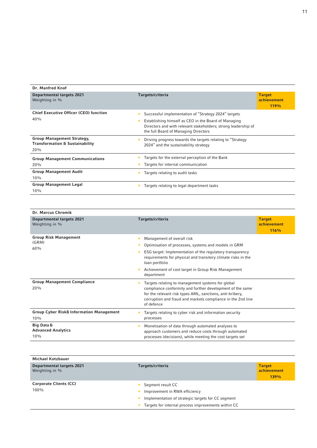| Dr. Manfred Knof                                                                |                                                                                                                                                                                                                        |                                      |
|---------------------------------------------------------------------------------|------------------------------------------------------------------------------------------------------------------------------------------------------------------------------------------------------------------------|--------------------------------------|
| Departmental targets 2021<br>Weighting in %                                     | Targets/criteria                                                                                                                                                                                                       | <b>Target</b><br>achievement<br>119% |
| <b>Chief Executive Officer (CEO) function</b><br>40%                            | Successful implementation of "Strategy 2024" targets<br>Establishing himself as CEO in the Board of Managing<br>Directors and with relevant stakeholders; strong leadership of<br>the full Board of Managing Directors |                                      |
| Group Management Strategy,<br><b>Transformation &amp; Sustainability</b><br>20% | Driving progress towards the targets relating to "Strategy<br>2024" and the sustainability strategy                                                                                                                    |                                      |
| <b>Group Management Communications</b><br>20%                                   | Targets for the external perception of the Bank<br>Targets for internal communication                                                                                                                                  |                                      |
| <b>Group Management Audit</b><br>10%                                            | Targets relating to audit tasks                                                                                                                                                                                        |                                      |
| <b>Group Management Legal</b><br>10%                                            | Targets relating to legal department tasks                                                                                                                                                                             |                                      |

| Dr. Marcus Chromik                                         |                                                                                                                                                                                                                                                                                                         |                                      |
|------------------------------------------------------------|---------------------------------------------------------------------------------------------------------------------------------------------------------------------------------------------------------------------------------------------------------------------------------------------------------|--------------------------------------|
| <b>Departmental targets 2021</b><br>Weighting in %         | Targets/criteria                                                                                                                                                                                                                                                                                        | <b>Target</b><br>achievement<br>116% |
| <b>Group Risk Management</b><br>(GRM)<br>60%               | Management of overall risk<br>Optimisation of processes, systems and models in GRM<br>ESG target: Implementation of the regulatory transparency<br>requirements for physical and transitory climate risks in the<br>loan portfolio<br>Achievement of cost target in Group Risk Management<br>department |                                      |
| <b>Group Management Compliance</b><br>20%                  | Targets relating to management systems for global<br>compliance conformity and further development of the same<br>for the relevant risk types AML, sanctions, anti-bribery,<br>corruption and fraud and markets compliance in the 2nd line<br>of defence                                                |                                      |
| <b>Group Cyber Risk&amp; Information Management</b><br>10% | Targets relating to cyber risk and information security<br>processes                                                                                                                                                                                                                                    |                                      |
| Big Data &<br><b>Advanced Analytics</b><br>10%             | Monetisation of data through automated analyses to<br>approach customers and reduce costs through automated<br>processes (decisions), while meeting the cost targets set                                                                                                                                |                                      |

| <b>Michael Kotzbauer</b>                    |                                                     |                                      |
|---------------------------------------------|-----------------------------------------------------|--------------------------------------|
| Departmental targets 2021<br>Weighting in % | Targets/criteria                                    | <b>Target</b><br>achievement<br>139% |
| <b>Corporate Clients (CC)</b>               | Segment result CC<br>$\bullet$                      |                                      |
| 100%                                        | Improvement in RWA efficiency                       |                                      |
|                                             | Implementation of strategic targets for CC segment  |                                      |
|                                             | Targets for internal process improvements within CC |                                      |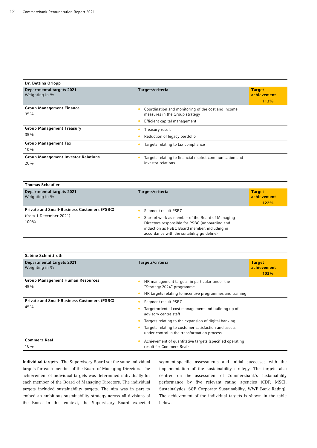| Dr. Bettina Orlopp                                 |                                                                                                                           |                                      |
|----------------------------------------------------|---------------------------------------------------------------------------------------------------------------------------|--------------------------------------|
| <b>Departmental targets 2021</b><br>Weighting in % | Targets/criteria                                                                                                          | <b>Target</b><br>achievement<br>113% |
| <b>Group Management Finance</b><br>35%             | Coordination and monitoring of the cost and income<br>۰<br>measures in the Group strategy<br>Efficient capital management |                                      |
| <b>Group Management Treasury</b><br>35%            | Treasury result<br>Reduction of legacy portfolio                                                                          |                                      |
| <b>Group Management Tax</b><br>10%                 | Targets relating to tax compliance                                                                                        |                                      |
| <b>Group Management Investor Relations</b><br>20%  | Targets relating to financial market communication and<br>investor relations                                              |                                      |

| <b>Thomas Schaufler</b>                                                                 |                                                                                                                                                                                                                         |                                      |
|-----------------------------------------------------------------------------------------|-------------------------------------------------------------------------------------------------------------------------------------------------------------------------------------------------------------------------|--------------------------------------|
| Departmental targets 2021<br>Weighting in %                                             | Targets/criteria                                                                                                                                                                                                        | <b>Target</b><br>achievement<br>122% |
| <b>Private and Small-Business Customers (PSBC)</b><br>(from 1 December 2021)<br>$100\%$ | Segment result PSBC<br>Start of work as member of the Board of Managing<br>Directors responsible for PSBC (onboarding and<br>induction as PSBC Board member, including in<br>accordance with the suitability quideline) |                                      |

| <b>Sabine Schmittroth</b>                          |                                                                                                     |                                      |
|----------------------------------------------------|-----------------------------------------------------------------------------------------------------|--------------------------------------|
| Departmental targets 2021<br>Weighting in %        | Targets/criteria                                                                                    | <b>Target</b><br>achievement<br>103% |
| <b>Group Management Human Resources</b><br>45%     | HR management targets, in particular under the<br>"Strategy 2024" programme                         |                                      |
|                                                    | HR targets relating to incentive programmes and training                                            |                                      |
| <b>Private and Small-Business Customers (PSBC)</b> | Segment result PSBC                                                                                 |                                      |
| 45%                                                | Target-oriented cost management and building up of<br>advisory centre staff                         |                                      |
|                                                    | Targets relating to the expansion of digital banking                                                |                                      |
|                                                    | Targets relating to customer satisfaction and assets<br>under control in the transformation process |                                      |
| <b>Commerz Real</b>                                | Achievement of quantitative targets (specified operating                                            |                                      |
| 10%                                                | result for Commerz Real)                                                                            |                                      |

Individual targets The Supervisory Board set the same individual targets for each member of the Board of Managing Directors. The achievement of individual targets was determined individually for each member of the Board of Managing Directors. The individual targets included sustainability targets. The aim was in part to embed an ambitious sustainability strategy across all divisions of the Bank. In this context, the Supervisory Board expected

segment-specific assessments and initial successes with the implementation of the sustainability strategy. The targets also centred on the assessment of Commerzbank's sustainability performance by five relevant rating agencies (CDP, MSCI, Sustainalytics, S&P Corporate Sustainability, WWF Bank Rating). The achievement of the individual targets is shown in the table below.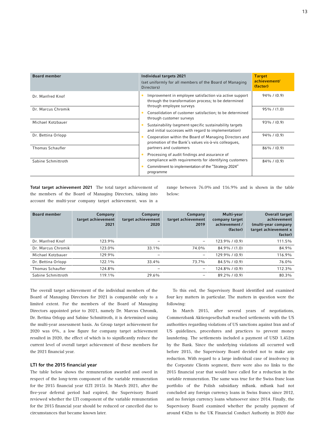| <b>Board member</b> | Individual targets 2021<br>(set uniformly for all members of the Board of Managing<br>Directors)                 | <b>Target</b><br>achievement/<br>(factor) |
|---------------------|------------------------------------------------------------------------------------------------------------------|-------------------------------------------|
| Dr. Manfred Knof    | Improvement in employee satisfaction via active support<br>through the transformation process; to be determined  | $94\%$ / (0.9)                            |
| Dr. Marcus Chromik  | through employee surveys<br>Consolidation of customer satisfaction; to be determined<br>through customer surveys | $95\%$ / (1.0)                            |
| Michael Kotzbauer   | Sustainability (segment-specific sustainability targets<br>and initial successes with regard to implementation)  | $93\% / (0.9)$                            |
| Dr. Bettina Orlopp  | Cooperation within the Board of Managing Directors and<br>promotion of the Bank's values vis-à-vis colleagues,   | $94\%$ / (0.9)                            |
| Thomas Schaufler    | partners and customers                                                                                           | $86\%$ / (0.9)                            |
|                     | Processing of audit findings and assurance of                                                                    |                                           |
| Sabine Schmittroth  | compliance with requirements for identifying customers                                                           | $84\%$ / (0.9)                            |
|                     | Commitment to implementation of the "Strategy 2024"<br>programme                                                 |                                           |

Total target achievement 2021 The total target achievement of the members of the Board of Managing Directors, taking into account the multi-year company target achievement, was in a

range between 76.0% and 116.9% and is shown in the table below:

| <b>Board member</b> | Company<br>target achievement<br>2021 | Company<br>target achievement<br>2020 | Company<br>target achievement<br>2019 | Multi-year<br>company target<br>achievement /<br>(factor) | Overall target<br>achievement<br>(multi-year company<br>target achievement x<br>factor) |
|---------------------|---------------------------------------|---------------------------------------|---------------------------------------|-----------------------------------------------------------|-----------------------------------------------------------------------------------------|
| Dr. Manfred Knof    | 123.9%                                |                                       |                                       | $123.9\%$ / (0.9)                                         | 111.5%                                                                                  |
| Dr. Marcus Chromik  | 123.0%                                | $33.1\%$                              | 74.0%                                 | $84.9\%$ / (1.0)                                          | 84.9%                                                                                   |
| Michael Kotzbauer   | 129.9%                                | $\overline{\phantom{0}}$              |                                       | $129.9\%$ / (0.9)                                         | 116.9%                                                                                  |
| Dr. Bettina Orlopp  | 122.1%                                | 33.4%                                 | 73.7%                                 | $84.5\%$ / (0.9)                                          | 76.0%                                                                                   |
| Thomas Schaufler    | 124.8%                                | $\overline{\phantom{0}}$              | -                                     | $124.8\%$ / (0.9)                                         | 112.3%                                                                                  |
| Sabine Schmittroth  | 119.1%                                | 29.6%                                 |                                       | $89.2\%$ / (0.9)                                          | $80.3\%$                                                                                |

The overall target achievement of the individual members of the Board of Managing Directors for 2021 is comparable only to a limited extent. For the members of the Board of Managing Directors appointed prior to 2021, namely Dr. Marcus Chromik, Dr. Bettina Orlopp and Sabine Schmittroth, it is determined using the multi-year assessment basis. As Group target achievement for 2020 was 0%, a low figure for company target achievement resulted in 2020, the effect of which is to significantly reduce the current level of overall target achievement of these members for the 2021 financial year.

#### LTI for the 2015 financial year

The table below shows the remuneration awarded and owed in respect of the long-term component of the variable remuneration for the 2015 financial year (LTI 2015). In March 2021, after the five-year deferral period had expired, the Supervisory Board reviewed whether the LTI component of the variable remuneration for the 2015 financial year should be reduced or cancelled due to circumstances that became known later.

To this end, the Supervisory Board identified and examined four key matters in particular. The matters in question were the following:

In March 2015, after several years of negotiations, Commerzbank Aktiengesellschaft reached settlements with the US authorities regarding violations of US sanctions against Iran and of US guidelines, procedures and practices to prevent money laundering. The settlements included a payment of USD 1,452m by the Bank. Since the underlying violations all occurred well before 2015, the Supervisory Board decided not to make any reduction. With regard to a large individual case of insolvency in the Corporate Clients segment, there were also no links to the 2015 financial year that would have called for a reduction in the variable remuneration. The same was true for the Swiss franc loan portfolio of the Polish subsidiary mBank. mBank had not concluded any foreign currency loans in Swiss francs since 2012, and no foreign currency loans whatsoever since 2014. Finally, the Supervisory Board examined whether the penalty payment of around €42m to the UK Financial Conduct Authority in 2020 due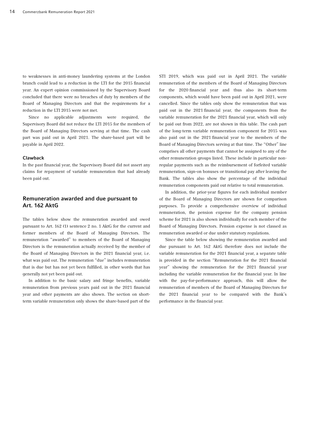to weaknesses in anti-money laundering systems at the London branch could lead to a reduction in the LTI for the 2015 financial year. An expert opinion commissioned by the Supervisory Board concluded that there were no breaches of duty by members of the Board of Managing Directors and that the requirements for a reduction in the LTI 2015 were not met.

Since no applicable adjustments were required, the Supervisory Board did not reduce the LTI 2015 for the members of the Board of Managing Directors serving at that time. The cash part was paid out in April 2021. The share-based part will be payable in April 2022.

#### Clawback

In the past financial year, the Supervisory Board did not assert any claims for repayment of variable remuneration that had already been paid out.

#### Remuneration awarded and due pursuant to Art. 162 AktG

The tables below show the remuneration awarded and owed pursuant to Art. 162 (1) sentence 2 no. 1 AktG for the current and former members of the Board of Managing Directors. The remuneration "awarded" to members of the Board of Managing Directors is the remuneration actually received by the member of the Board of Managing Directors in the 2021 financial year, i.e. what was paid out. The remuneration "due" includes remuneration that is due but has not yet been fulfilled, in other words that has generally not yet been paid out.

In addition to the basic salary and fringe benefits, variable remuneration from previous years paid out in the 2021 financial year and other payments are also shown. The section on shortterm variable remuneration only shows the share-based part of the STI 2019, which was paid out in April 2021. The variable remuneration of the members of the Board of Managing Directors for the 2020 financial year and thus also its short-term components, which would have been paid out in April 2021, were cancelled. Since the tables only show the remuneration that was paid out in the 2021 financial year, the components from the variable remuneration for the 2021 financial year, which will only be paid out from 2022, are not shown in this table. The cash part of the long-term variable remuneration component for 2015 was also paid out in the 2021 financial year to the members of the Board of Managing Directors serving at that time. The "Other" line comprises all other payments that cannot be assigned to any of the other remuneration groups listed. These include in particular nonregular payments such as the reimbursement of forfeited variable remuneration, sign-on bonuses or transitional pay after leaving the Bank. The tables also show the percentage of the individual remuneration components paid out relative to total remuneration.

In addition, the prior-year figures for each individual member of the Board of Managing Directors are shown for comparison purposes. To provide a comprehensive overview of individual remuneration, the pension expense for the company pension scheme for 2021 is also shown individually for each member of the Board of Managing Directors. Pension expense is not classed as remuneration awarded or due under statutory regulations.

Since the table below showing the remuneration awarded and due pursuant to Art. 162 AktG therefore does not include the variable remuneration for the 2021 financial year, a separate table is provided in the section "Remuneration for the 2021 financial year" showing the remuneration for the 2021 financial year including the variable remuneration for the financial year. In line with the pay-for-performance approach, this will allow the remuneration of members of the Board of Managing Directors for the 2021 financial year to be compared with the Bank's performance in the financial year.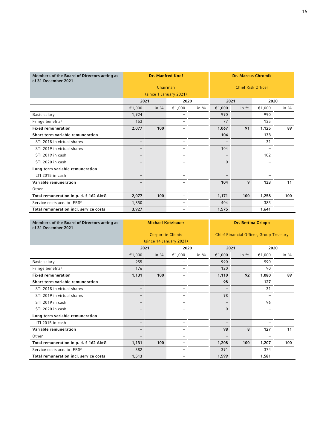| Members of the Board of Directors acting as<br>of 31 December 2021 |        | <b>Dr. Manfred Knof</b> |        |         |              | <b>Dr. Marcus Chromik</b> |        |         |
|--------------------------------------------------------------------|--------|-------------------------|--------|---------|--------------|---------------------------|--------|---------|
|                                                                    |        | Chairman                |        |         |              | <b>Chief Risk Officer</b> |        |         |
|                                                                    |        | (since 1 January 2021)  |        |         |              |                           |        |         |
|                                                                    | 2021   |                         | 2020   |         | 2021         |                           | 2020   |         |
|                                                                    | €1,000 | in $\frac{9}{6}$        | €1,000 | in $\%$ | €1,000       | in $\%$                   | €1,000 | in $\%$ |
| Basic salary                                                       | 1,924  |                         |        |         | 990          |                           | 990    |         |
| Fringe benefits <sup>1</sup>                                       | 153    |                         |        |         | 77           |                           | 135    |         |
| <b>Fixed remuneration</b>                                          | 2,077  | 100                     |        |         | 1,067        | 91                        | 1,125  | 89      |
| Short-term variable remuneration                                   |        |                         |        |         | 104          |                           | 133    |         |
| STI 2018 in virtual shares                                         |        |                         |        |         |              |                           | 31     |         |
| STI 2019 in virtual shares                                         |        |                         |        |         | 104          |                           |        |         |
| STI 2019 in cash                                                   |        |                         |        |         |              |                           | 102    |         |
| STI 2020 in cash                                                   | -      |                         |        |         | $\mathbf{0}$ |                           |        |         |
| Long-term variable remuneration                                    | -      |                         |        |         |              |                           |        |         |
| LTI 2015 in cash                                                   |        |                         |        |         |              |                           |        |         |
| Variable remuneration                                              |        |                         |        |         | 104          | 9                         | 133    | 11      |
| Other                                                              |        |                         |        |         |              |                           |        |         |
| Total remuneration in p. d. § 162 AktG                             | 2,077  | 100                     |        |         | 1,171        | 100                       | 1,258  | 100     |
| Service costs acc. to IFRS <sup>2</sup>                            | 1,850  |                         |        |         | 404          |                           | 383    |         |
| Total remuneration incl. service costs                             | 3,927  |                         |        |         | 1,575        |                           | 1,641  |         |

| Members of the Board of Directors acting as<br>of 31 December 2021 |                          | <b>Michael Kotzbauer</b> |        |         |                   | <b>Dr. Bettina Orlopp</b>                      |        |         |
|--------------------------------------------------------------------|--------------------------|--------------------------|--------|---------|-------------------|------------------------------------------------|--------|---------|
|                                                                    |                          | <b>Corporate Clients</b> |        |         |                   | <b>Chief Financial Officer, Group Treasury</b> |        |         |
|                                                                    |                          | (since 14 January 2021)  |        |         |                   |                                                |        |         |
|                                                                    | 2021                     |                          |        | 2020    |                   | 2021                                           | 2020   |         |
|                                                                    | €1,000                   | in $\%$                  | €1,000 | in $\%$ | €1,000            | in $\frac{9}{6}$                               | €1,000 | in $\%$ |
| Basic salary                                                       | 955                      |                          | -      |         | 990               |                                                | 990    |         |
| Fringe benefits <sup>1</sup>                                       | 176                      |                          |        |         | 120               |                                                | 90     |         |
| <b>Fixed remuneration</b>                                          | 1,131                    | 100                      |        |         | 1,110             | 92                                             | 1,080  | 89      |
| Short-term variable remuneration                                   |                          |                          |        |         | 98                |                                                | 127    |         |
| STI 2018 in virtual shares                                         | $\overline{\phantom{0}}$ |                          |        |         | -                 |                                                | 31     |         |
| STI 2019 in virtual shares                                         |                          |                          |        |         | 98                |                                                |        |         |
| STI 2019 in cash                                                   | $\qquad \qquad -$        |                          | -      |         | $\qquad \qquad -$ |                                                | 96     |         |
| STI 2020 in cash                                                   | $\qquad \qquad -$        |                          |        |         | $\mathbf{0}$      |                                                |        |         |
| Long-term variable remuneration                                    |                          |                          |        |         |                   |                                                |        |         |
| LTI 2015 in cash                                                   | $\overline{\phantom{0}}$ |                          |        |         | -                 |                                                |        |         |
| Variable remuneration                                              | —                        |                          |        |         | 98                | 8                                              | 127    | 11      |
| Other                                                              |                          |                          |        |         |                   |                                                |        |         |
| Total remuneration in p. d. § 162 AktG                             | 1,131                    | 100                      |        |         | 1,208             | 100                                            | 1,207  | 100     |
| Service costs acc. to IFRS <sup>2</sup>                            | 382                      |                          |        |         | 391               |                                                | 374    |         |
| Total remuneration incl. service costs                             | 1,513                    |                          |        |         | 1,599             |                                                | 1,581  |         |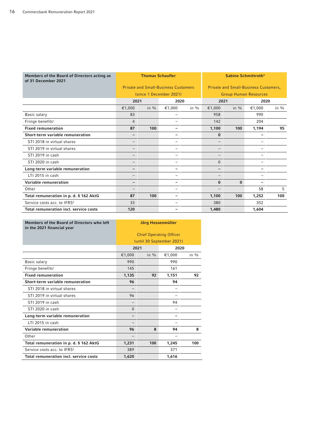| Members of the Board of Directors acting as<br>of 31 December 2021 |                          | <b>Thomas Schaufler</b>                     |        |         |                              | Sabine Schmittroth <sup>3</sup>              |        |                  |
|--------------------------------------------------------------------|--------------------------|---------------------------------------------|--------|---------|------------------------------|----------------------------------------------|--------|------------------|
|                                                                    |                          | <b>Private and Small-Business Customers</b> |        |         |                              | <b>Private and Small-Business Customers,</b> |        |                  |
|                                                                    |                          | (since 1 December 2021)                     |        |         | <b>Group Human Resources</b> |                                              |        |                  |
|                                                                    | 2021<br>2020             |                                             |        | 2021    |                              | 2020                                         |        |                  |
|                                                                    | €1,000                   | in $\frac{0}{0}$                            | €1,000 | in $\%$ | €1,000                       | in $\frac{9}{6}$                             | €1,000 | in $\frac{9}{6}$ |
| Basic salary                                                       | 83                       |                                             |        |         | 958                          |                                              | 990    |                  |
| Fringe benefits <sup>1</sup>                                       | $\overline{4}$           |                                             |        |         | 142                          |                                              | 204    |                  |
| <b>Fixed remuneration</b>                                          | 87                       | 100                                         |        |         | 1,100                        | 100                                          | 1,194  | 95               |
| Short-term variable remuneration                                   |                          |                                             |        |         | $\bf{0}$                     |                                              |        |                  |
| STI 2018 in virtual shares                                         |                          |                                             |        |         |                              |                                              |        |                  |
| STI 2019 in virtual shares                                         |                          |                                             |        |         |                              |                                              |        |                  |
| STI 2019 in cash                                                   | -                        |                                             | -      |         |                              |                                              |        |                  |
| STI 2020 in cash                                                   | -                        |                                             |        |         | $\overline{0}$               |                                              |        |                  |
| Long-term variable remuneration                                    | $\overline{\phantom{0}}$ |                                             |        |         |                              |                                              |        |                  |
| LTI 2015 in cash                                                   |                          |                                             |        |         |                              |                                              |        |                  |
| Variable remuneration                                              | -                        |                                             |        |         | $\bf{0}$                     | $\bf{0}$                                     |        |                  |
| Other                                                              |                          |                                             |        |         |                              |                                              | 58     | 5                |
| Total remuneration in p. d. § 162 AktG                             | 87                       | 100                                         |        |         | 1,100                        | 100                                          | 1,252  | 100              |
| Service costs acc. to IFRS <sup>2</sup>                            | 33                       |                                             |        |         | 380                          |                                              | 352    |                  |
| Total remuneration incl. service costs                             | 120                      |                                             |        |         | 1,480                        |                                              | 1,604  |                  |

٦

| Members of the Board of Directors who left<br>in the 2021 financial year |             | Jörg Hessenmüller              |        |                  |
|--------------------------------------------------------------------------|-------------|--------------------------------|--------|------------------|
|                                                                          |             | <b>Chief Operating Officer</b> |        |                  |
|                                                                          |             | (until 30 September 2021)      |        |                  |
|                                                                          |             | 2021                           | 2020   |                  |
|                                                                          | €1,000      | in $\frac{0}{0}$               | €1,000 | in $\frac{0}{0}$ |
| Basic salary                                                             | 990         |                                | 990    |                  |
| Fringe benefits <sup>1</sup>                                             | 145         |                                | 161    |                  |
| <b>Fixed remuneration</b>                                                | 1,135       | 92                             | 1,151  | 92               |
| Short-term variable remuneration                                         | 96          |                                | 94     |                  |
| STI 2018 in virtual shares                                               |             |                                |        |                  |
| STI 2019 in virtual shares                                               | 96          |                                |        |                  |
| STI 2019 in cash                                                         |             |                                | 94     |                  |
| STI 2020 in cash                                                         | $\mathbf 0$ |                                |        |                  |
| Long-term variable remuneration                                          |             |                                |        |                  |
| LTI 2015 in cash                                                         |             |                                |        |                  |
| Variable remuneration                                                    | 96          | 8                              | 94     | 8                |
| Other                                                                    |             |                                |        |                  |
| Total remuneration in p. d. § 162 AktG                                   | 1,231       | 100                            | 1,245  | 100              |
| Service costs acc. to IFRS <sup>2</sup>                                  | 389         |                                | 371    |                  |
| <b>Total remuneration incl. service costs</b>                            | 1,620       |                                | 1,616  |                  |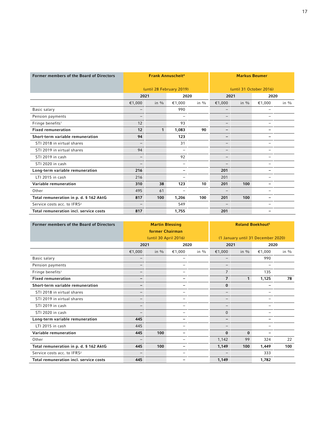| Former members of the Board of Directors |                   | <b>Frank Annuscheit<sup>4</sup></b> |                          |         | <b>Markus Beumer</b> |                  |                         |         |
|------------------------------------------|-------------------|-------------------------------------|--------------------------|---------|----------------------|------------------|-------------------------|---------|
|                                          |                   | (until 28 February 2019)            |                          |         |                      |                  | (until 31 October 2016) |         |
|                                          | 2021              |                                     | 2020                     |         | 2021                 |                  | 2020                    |         |
|                                          | €1,000            | in $\frac{9}{6}$                    | €1,000                   | in $\%$ | €1,000               | in $\frac{9}{6}$ | €1,000                  | in $\%$ |
| Basic salary                             |                   |                                     | 990                      |         |                      |                  |                         |         |
| Pension payments                         |                   |                                     |                          |         |                      |                  |                         |         |
| Fringe benefits <sup>1</sup>             | 12                |                                     | 93                       |         | -                    |                  |                         |         |
| <b>Fixed remuneration</b>                | 12                | $\mathbf{1}$                        | 1,083                    | 90      | -                    |                  |                         |         |
| Short-term variable remuneration         | 94                |                                     | 123                      |         |                      |                  |                         |         |
| STI 2018 in virtual shares               | $\qquad \qquad -$ |                                     | 31                       |         |                      |                  |                         |         |
| STI 2019 in virtual shares               | 94                |                                     | $\overline{\phantom{0}}$ |         | -                    |                  |                         |         |
| STI 2019 in cash                         | $\qquad \qquad -$ |                                     | 92                       |         | -                    |                  | -                       |         |
| STI 2020 in cash                         | $\qquad \qquad -$ |                                     | -                        |         | -                    |                  |                         |         |
| Long-term variable remuneration          | 216               |                                     |                          |         | 201                  |                  |                         |         |
| LTI 2015 in cash                         | 216               |                                     |                          |         | 201                  |                  |                         |         |
| Variable remuneration                    | 310               | 38                                  | 123                      | 10      | 201                  | 100              |                         |         |
| Other                                    | 495               | 61                                  |                          |         |                      |                  |                         |         |
| Total remuneration in p. d. § 162 AktG   | 817               | 100                                 | 1,206                    | 100     | 201                  | 100              |                         |         |
| Service costs acc. to IFRS <sup>2</sup>  | $\qquad \qquad -$ |                                     | 549                      |         | -                    |                  |                         |         |
| Total remuneration incl. service costs   | 817               |                                     | 1,755                    |         | 201                  |                  | -                       |         |

| Former members of the Board of Directors |                          | <b>Martin Blessing</b> |                          |         |        |                                                                                                                                                                                                                                                   |       |         |
|------------------------------------------|--------------------------|------------------------|--------------------------|---------|--------|---------------------------------------------------------------------------------------------------------------------------------------------------------------------------------------------------------------------------------------------------|-------|---------|
|                                          |                          | former Chairman        |                          |         |        | <b>Roland Boekhout<sup>5</sup></b><br>(1 January until 31 December 2020)<br>2021<br>2020<br>€1,000<br>in $\frac{0}{0}$<br>990<br>7<br>135<br>$\overline{7}$<br>1,125<br>$\mathbf{1}$<br>$\bf{0}$<br>$\Omega$<br>$\bf{0}$<br>$\Omega$<br>99<br>324 |       |         |
|                                          |                          | (until 30 April 2016)  |                          |         |        |                                                                                                                                                                                                                                                   |       |         |
|                                          | 2021                     |                        | 2020                     |         |        |                                                                                                                                                                                                                                                   |       |         |
|                                          | €1,000                   | in $\frac{0}{0}$       | €1,000                   | in $\%$ | €1,000 |                                                                                                                                                                                                                                                   |       | in $\%$ |
| Basic salary                             |                          |                        |                          |         |        |                                                                                                                                                                                                                                                   |       |         |
| Pension payments                         |                          |                        |                          |         |        |                                                                                                                                                                                                                                                   |       |         |
| Fringe benefits <sup>1</sup>             |                          |                        |                          |         |        |                                                                                                                                                                                                                                                   |       |         |
| <b>Fixed remuneration</b>                |                          |                        |                          |         |        |                                                                                                                                                                                                                                                   |       | 78      |
| Short-term variable remuneration         | -                        |                        |                          |         |        |                                                                                                                                                                                                                                                   |       |         |
| STI 2018 in virtual shares               |                          |                        |                          |         |        |                                                                                                                                                                                                                                                   |       |         |
| STI 2019 in virtual shares               |                          |                        |                          |         |        |                                                                                                                                                                                                                                                   |       |         |
| STI 2019 in cash                         |                          |                        |                          |         |        |                                                                                                                                                                                                                                                   |       |         |
| STI 2020 in cash                         | $\overline{\phantom{0}}$ |                        | $\overline{\phantom{0}}$ |         |        |                                                                                                                                                                                                                                                   |       |         |
| Long-term variable remuneration          | 445                      |                        |                          |         |        |                                                                                                                                                                                                                                                   |       |         |
| LTI 2015 in cash                         | 445                      |                        |                          |         |        |                                                                                                                                                                                                                                                   |       |         |
| Variable remuneration                    | 445                      | 100                    |                          |         |        |                                                                                                                                                                                                                                                   |       |         |
| Other                                    |                          |                        |                          |         | 1,142  |                                                                                                                                                                                                                                                   |       | 22      |
| Total remuneration in p. d. § 162 AktG   | 445                      | 100                    |                          |         | 1,149  | 100                                                                                                                                                                                                                                               | 1,449 | 100     |
| Service costs acc. to IFRS <sup>2</sup>  |                          |                        |                          |         |        |                                                                                                                                                                                                                                                   | 333   |         |
| Total remuneration incl. service costs   | 445                      |                        |                          |         | 1,149  |                                                                                                                                                                                                                                                   | 1,782 |         |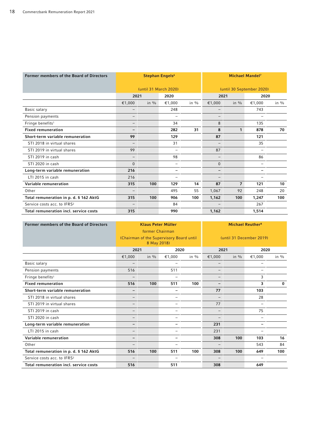| Former members of the Board of Directors |                   |                       | <b>Stephan Engels<sup>6</sup></b> |         | <b>Michael Mandel<sup>7</sup></b> |                  |                           |         |
|------------------------------------------|-------------------|-----------------------|-----------------------------------|---------|-----------------------------------|------------------|---------------------------|---------|
|                                          |                   | (until 31 March 2020) |                                   |         |                                   |                  | (until 30 September 2020) |         |
|                                          | 2021              |                       | 2020                              |         | 2021                              |                  | 2020                      |         |
|                                          | €1,000            | in $\frac{0}{0}$      | €1,000                            | in $\%$ | €1,000                            | in $\frac{0}{0}$ | €1,000                    | in $\%$ |
| Basic salary                             | -                 |                       | 248                               |         |                                   |                  | 743                       |         |
| Pension payments                         | -                 |                       |                                   |         | $\overline{\phantom{0}}$          |                  |                           |         |
| Fringe benefits <sup>1</sup>             | -                 |                       | 34                                |         | 8                                 |                  | 135                       |         |
| <b>Fixed remuneration</b>                | -                 |                       | 282                               | 31      | 8                                 | 1                | 878                       | 70      |
| Short-term variable remuneration         | 99                |                       | 129                               |         | 87                                |                  | 121                       |         |
| STI 2018 in virtual shares               | $\qquad \qquad -$ |                       | 31                                |         | $\qquad \qquad -$                 |                  | 35                        |         |
| STI 2019 in virtual shares               | 99                |                       | $\overline{\phantom{m}}$          |         | 87                                |                  | $\qquad \qquad$           |         |
| STI 2019 in cash                         | $\qquad \qquad -$ |                       | 98                                |         | -                                 |                  | 86                        |         |
| STI 2020 in cash                         | $\overline{0}$    |                       |                                   |         | $\mathbf{0}$                      |                  |                           |         |
| Long-term variable remuneration          | 216               |                       |                                   |         | -                                 |                  |                           |         |
| LTI 2015 in cash                         | 216               |                       | $\qquad \qquad$                   |         | $\qquad \qquad -$                 |                  |                           |         |
| Variable remuneration                    | 315               | 100                   | 129                               | 14      | 87                                | $\overline{7}$   | 121                       | 10      |
| Other                                    | $\qquad \qquad -$ |                       | 495                               | 55      | 1,067                             | 92               | 248                       | 20      |
| Total remuneration in p. d. § 162 AktG   | 315               | 100                   | 906                               | 100     | 1,162                             | 100              | 1,247                     | 100     |
| Service costs acc. to IFRS <sup>2</sup>  | $\qquad \qquad -$ |                       | 84                                |         |                                   |                  | 267                       |         |
| Total remuneration incl. service costs   | 315               |                       | 990                               |         | 1,162                             |                  | 1,514                     |         |

| Former members of the Board of Directors |        | <b>Klaus Peter Müller</b> |                                          |         |                   | <b>Michael Reuther<sup>8</sup></b> |                          |         |  |
|------------------------------------------|--------|---------------------------|------------------------------------------|---------|-------------------|------------------------------------|--------------------------|---------|--|
|                                          |        | former Chairman           |                                          |         |                   |                                    |                          |         |  |
|                                          |        | 8 May 2018)               | (Chairman of the Supervisory Board until |         |                   |                                    | (until 31 December 2019) |         |  |
|                                          | 2021   |                           | 2020                                     |         | 2021              |                                    | 2020                     |         |  |
|                                          | €1,000 | in $\frac{0}{0}$          | €1,000                                   | in $\%$ | €1,000            | in $\%$                            | €1,000                   | in $\%$ |  |
| Basic salary                             |        |                           |                                          |         |                   |                                    |                          |         |  |
| Pension payments                         | 516    |                           | 511                                      |         |                   |                                    |                          |         |  |
| Fringe benefits <sup>1</sup>             |        |                           |                                          |         |                   |                                    | 3                        |         |  |
| <b>Fixed remuneration</b>                | 516    | 100                       | 511                                      | 100     | $\qquad \qquad -$ |                                    | 3                        | 0       |  |
| Short-term variable remuneration         |        |                           |                                          |         | 77                |                                    | 103                      |         |  |
| STI 2018 in virtual shares               |        |                           |                                          |         | $\qquad \qquad -$ |                                    | 28                       |         |  |
| STI 2019 in virtual shares               |        |                           |                                          |         | 77                |                                    | $\overline{\phantom{0}}$ |         |  |
| STI 2019 in cash                         | -      |                           | $\overline{\phantom{0}}$                 |         | $\qquad \qquad -$ |                                    | 75                       |         |  |
| STI 2020 in cash                         | -      |                           |                                          |         | $\qquad \qquad -$ |                                    |                          |         |  |
| Long-term variable remuneration          |        |                           |                                          |         | 231               |                                    |                          |         |  |
| LTI 2015 in cash                         | -      |                           | -                                        |         | 231               |                                    | -                        |         |  |
| Variable remuneration                    |        |                           |                                          |         | 308               | 100                                | 103                      | 16      |  |
| Other                                    |        |                           |                                          |         |                   |                                    | 543                      | 84      |  |
| Total remuneration in p. d. § 162 AktG   | 516    | 100                       | 511                                      | 100     | 308               | 100                                | 649                      | 100     |  |
| Service costs acc. to IFRS <sup>2</sup>  |        |                           |                                          |         |                   |                                    |                          |         |  |
| Total remuneration incl. service costs   | 516    |                           | 511                                      |         | 308               |                                    | 649                      |         |  |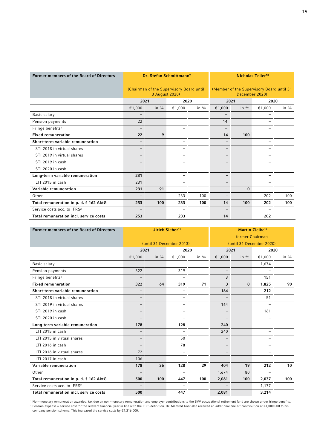| Former members of the Board of Directors      |                          | Dr. Stefan Schmittmann <sup>9</sup>                        |                          |         |                          |                                                             | Nicholas Teller <sup>10</sup> |         |  |
|-----------------------------------------------|--------------------------|------------------------------------------------------------|--------------------------|---------|--------------------------|-------------------------------------------------------------|-------------------------------|---------|--|
|                                               |                          | (Chairman of the Supervisory Board until<br>3 August 2020) |                          |         |                          | (Member of the Supervisory Board until 31<br>December 2020) |                               |         |  |
|                                               | 2021                     |                                                            | 2020                     |         | 2021                     |                                                             | 2020                          |         |  |
|                                               | €1,000                   | in $\frac{0}{0}$                                           | €1,000                   | in $\%$ | €1,000                   | in $\frac{9}{6}$                                            | €1,000                        | in $\%$ |  |
| Basic salary                                  | $\qquad \qquad -$        |                                                            |                          |         |                          |                                                             |                               |         |  |
| Pension payments                              | 22                       |                                                            |                          |         | 14                       |                                                             |                               |         |  |
| Fringe benefits <sup>1</sup>                  | $\qquad \qquad -$        |                                                            | -                        |         | $\qquad \qquad -$        |                                                             |                               |         |  |
| <b>Fixed remuneration</b>                     | 22                       | 9                                                          |                          |         | 14                       | 100                                                         |                               |         |  |
| Short-term variable remuneration              | $\qquad \qquad -$        |                                                            |                          |         | -                        |                                                             |                               |         |  |
| STI 2018 in virtual shares                    | -                        |                                                            |                          |         |                          |                                                             |                               |         |  |
| STI 2019 in virtual shares                    | $\qquad \qquad -$        |                                                            |                          |         |                          |                                                             |                               |         |  |
| STI 2019 in cash                              | $\qquad \qquad -$        |                                                            |                          |         | $\overline{\phantom{0}}$ |                                                             |                               |         |  |
| STI 2020 in cash                              | $\qquad \qquad -$        |                                                            |                          |         |                          |                                                             |                               |         |  |
| Long-term variable remuneration               | 231                      |                                                            |                          |         | -                        |                                                             |                               |         |  |
| LTI 2015 in cash                              | 231                      |                                                            | -                        |         | $\overline{\phantom{0}}$ |                                                             |                               |         |  |
| Variable remuneration                         | 231                      | 91                                                         |                          |         |                          | $\bf{0}$                                                    |                               |         |  |
| Other                                         | $\overline{\phantom{m}}$ |                                                            | 233                      | 100     | $\qquad \qquad -$        |                                                             | 202                           | 100     |  |
| Total remuneration in p. d. § 162 AktG        | 253                      | 100                                                        | 233                      | 100     | 14                       | 100                                                         | 202                           | 100     |  |
| Service costs acc. to IFRS <sup>2</sup>       | $\overline{\phantom{m}}$ |                                                            | $\overline{\phantom{0}}$ |         | -                        |                                                             |                               |         |  |
| <b>Total remuneration incl. service costs</b> | 253                      |                                                            | 233                      |         | 14                       |                                                             | 202                           |         |  |

| Former members of the Board of Directors |                          | <b>Ulrich Sieber<sup>11</sup></b> |                          |         |                   | <b>Martin Zielke<sup>12</sup></b><br>former Chairman |                          |                  |
|------------------------------------------|--------------------------|-----------------------------------|--------------------------|---------|-------------------|------------------------------------------------------|--------------------------|------------------|
|                                          |                          | (until 31 December 2013)          |                          |         |                   | (until 31 December 2020)                             |                          |                  |
|                                          | 2021                     |                                   | 2020                     |         | 2021              |                                                      | 2020                     |                  |
|                                          | €1,000                   | in $\frac{9}{6}$                  | €1,000                   | in $\%$ | €1,000            | in $\frac{0}{0}$                                     | €1,000                   | in $\frac{9}{6}$ |
| Basic salary                             | $\overline{\phantom{m}}$ |                                   | $\overline{\phantom{0}}$ |         |                   |                                                      | 1,674                    |                  |
| Pension payments                         | 322                      |                                   | 319                      |         |                   |                                                      |                          |                  |
| Fringe benefits <sup>1</sup>             |                          |                                   |                          |         | 3                 |                                                      | 151                      |                  |
| <b>Fixed remuneration</b>                | 322                      | 64                                | 319                      | 71      | 3                 | $\bf{0}$                                             | 1,825                    | 90               |
| Short-term variable remuneration         | -                        |                                   | -                        |         | 164               |                                                      | 212                      |                  |
| STI 2018 in virtual shares               |                          |                                   |                          |         |                   |                                                      | 51                       |                  |
| STI 2019 in virtual shares               |                          |                                   |                          |         | 164               |                                                      |                          |                  |
| STI 2019 in cash                         |                          |                                   |                          |         |                   |                                                      | 161                      |                  |
| STI 2020 in cash                         |                          |                                   |                          |         |                   |                                                      |                          |                  |
| Long-term variable remuneration          | 178                      |                                   | 128                      |         | 240               |                                                      |                          |                  |
| LTI 2015 in cash                         | $\qquad \qquad -$        |                                   | $\overline{\phantom{0}}$ |         | 240               |                                                      |                          |                  |
| LTI 2015 in virtual shares               | $\overline{\phantom{0}}$ |                                   | 50                       |         |                   |                                                      |                          |                  |
| LTI 2016 in cash                         | $\qquad \qquad -$        |                                   | 78                       |         | $\qquad \qquad -$ |                                                      |                          |                  |
| LTI 2016 in virtual shares               | 72                       |                                   | $\overline{\phantom{0}}$ |         |                   |                                                      |                          |                  |
| LTI 2017 in cash                         | 106                      |                                   | $\overline{\phantom{0}}$ |         | -                 |                                                      |                          |                  |
| Variable remuneration                    | 178                      | 36                                | 128                      | 29      | 404               | 19                                                   | 212                      | 10               |
| Other                                    | $\qquad \qquad -$        |                                   | $\overline{\phantom{m}}$ |         | 1,674             | 80                                                   | $\overline{\phantom{a}}$ |                  |
| Total remuneration in p. d. § 162 AktG   | 500                      | 100                               | 447                      | 100     | 2,081             | 100                                                  | 2,037                    | 100              |
| Service costs acc. to IFRS <sup>2</sup>  | $\overline{\phantom{m}}$ |                                   | $\overline{\phantom{0}}$ |         |                   |                                                      | 1,177                    |                  |
| Total remuneration incl. service costs   | 500                      |                                   | 447                      |         | 2,081             |                                                      | 3,214                    |                  |

<sup>1</sup> Non-monetary remuneration awarded, tax due on non-monetary remuneration and employer contributions to the BVV occupational retirement fund are shown under fringe benefits. 2 Pension expense = service cost for the relevant financial year in line with the IFRS definition. Dr. Manfred Knof also received an additional one-off contribution of €1,000,000 to his company pension scheme. This increased the service costs by €1,216,000.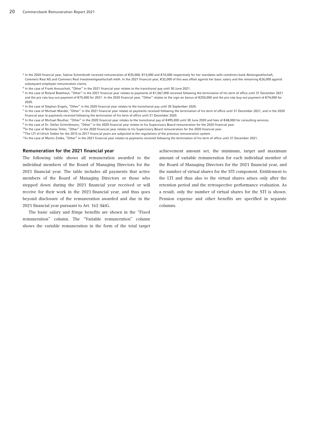- 3 In the 2020 financial year, Sabine Schmittroth received remuneration of €35,000, €13,000 and €10,000 respectively for her mandates with comdirect bank Aktiengesellschaft, Commerz Real AG and Commerz Real Investmentgesellschaft mbH. In the 2021 financial year, €32,000 of this was offset against her basic salary and the remaining €26,000 against subsequent employee remuneration claims.
- 4 In the case of Frank Annuscheit, "Other" in the 2021 financial year relates to the transitional pay until 30 June 2021.
- 5 In the case of Roland Boekhout, "Other" in the 2021 financial year relates to payments of €1,067,000 received following the termination of his term of office until 31 December 2021 and the pro rata buy-out payment of €75,000 for 2021. In the 2020 financial year, "Other" relates to the sign-on bonus of €250,000 and the pro rata buy-out payment of €74,000 for 2020.
- 6 In the case of Stephan Engels, "Other" in the 2020 financial year relates to the transitional pay until 30 September 2020.
- $^7$  In the case of Michael Mandel, "Other" in the 2021 financial year relates to payments received following the termination of his term of office until 31 December 2021, and in the 2020 financial year to payments received following the termination of his term of office until 31 December 2020.
- 8 In the case of Michael Reuther, "Other" in the 2020 financial year relates to the transitional pay of €495,000 until 30 June 2020 and fees of €48,000 for consulting services.
- 9 In the case of Dr. Stefan Schmittmann, "Other" in the 2020 financial year relates to his Supervisory Board remuneration for the 2020 financial year.
- <sup>10</sup>In the case of Nicholas Teller, "Other" in the 2020 financial year relates to his Supervisory Board remuneration for the 2020 financial year.
- 11The LTI of Ulrich Sieber for the 2015 to 2017 financial years are subjected to the regulations of the previous remuneration system.
- <sup>12</sup>In the case of Martin Zielke, "Other" in the 2021 financial year relates to payments received following the termination of his term of office until 31 December 2021.

#### Remuneration for the 2021 financial year

The following table shows all remuneration awarded to the individual members of the Board of Managing Directors for the 2021 financial year. The table includes all payments that active members of the Board of Managing Directors or those who stepped down during the 2021 financial year received or will receive for their work in the 2021 financial year, and thus goes beyond disclosure of the remuneration awarded and due in the 2021 financial year pursuant to Art. 162 AktG.

The basic salary and fringe benefits are shown in the "Fixed remuneration" column. The "Variable remuneration" column shows the variable remuneration in the form of the total target

achievement amount set, the minimum, target and maximum amount of variable remuneration for each individual member of the Board of Managing Directors for the 2021 financial year, and the number of virtual shares for the STI component. Entitlement to the LTI and thus also to the virtual shares arises only after the retention period and the retrospective performance evaluation. As a result, only the number of virtual shares for the STI is shown. Pension expense and other benefits are specified in separate columns.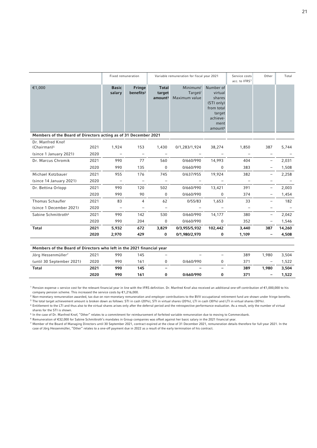|                                                                       |      |                          | Fixed remuneration              |                                               | Variable remuneration for fiscal year 2021 |                                                                                                                 | Service costs<br>acc. to IFRS1 | Other                    | Total  |
|-----------------------------------------------------------------------|------|--------------------------|---------------------------------|-----------------------------------------------|--------------------------------------------|-----------------------------------------------------------------------------------------------------------------|--------------------------------|--------------------------|--------|
| €1,000                                                                |      | <b>Basic</b><br>salary   | Fringe<br>benefits <sup>2</sup> | <b>Total</b><br>target<br>amount <sup>3</sup> | Minimum/<br>Target/<br>Maximum value       | Number of<br>virtual<br>shares<br>(STI only)<br>from total<br>target<br>achieve-<br>ment<br>amount <sup>4</sup> |                                |                          |        |
| Members of the Board of Directors acting as of 31 December 2021       |      |                          |                                 |                                               |                                            |                                                                                                                 |                                |                          |        |
| Dr. Manfred Knof<br>(Chairman) <sup>5</sup>                           | 2021 | 1,924                    | 153                             | 1,430                                         | 0/1,283/1,924                              | 38,274                                                                                                          | 1,850                          | 387                      | 5,744  |
| (since 1 January 2021)                                                | 2020 | $\overline{\phantom{a}}$ | $\overline{\phantom{m}}$        | $\overline{\phantom{m}}$                      |                                            |                                                                                                                 |                                | $\overline{\phantom{0}}$ |        |
| Dr. Marcus Chromik                                                    | 2021 | 990                      | 77                              | 560                                           | 0/660/990                                  | 14,993                                                                                                          | 404                            | $\overline{\phantom{a}}$ | 2,031  |
|                                                                       | 2020 | 990                      | 135                             | $\mathbf 0$                                   | 0/660/990                                  | $\mathbf 0$                                                                                                     | 383                            |                          | 1,508  |
| Michael Kotzbauer                                                     | 2021 | 955                      | 176                             | 745                                           | 0/637/955                                  | 19,924                                                                                                          | 382                            |                          | 2,258  |
| (since 14 January 2021)                                               | 2020 |                          |                                 | $\overline{\phantom{a}}$                      |                                            |                                                                                                                 | $\overline{\phantom{a}}$       | $\overline{\phantom{0}}$ |        |
| Dr. Bettina Orlopp                                                    | 2021 | 990                      | 120                             | 502                                           | 0/660/990                                  | 13,421                                                                                                          | 391                            |                          | 2,003  |
|                                                                       | 2020 | 990                      | 90                              | $\mathbf 0$                                   | 0/660/990                                  | $\mathbf 0$                                                                                                     | 374                            |                          | 1,454  |
| Thomas Schaufler                                                      | 2021 | 83                       | $\overline{4}$                  | 62                                            | 0/55/83                                    | 1,653                                                                                                           | 33                             |                          | 182    |
| (since 1 December 2021)                                               | 2020 | $\overline{\phantom{m}}$ | $\overline{\phantom{a}}$        | $\overline{\phantom{m}}$                      |                                            |                                                                                                                 | $\overline{\phantom{m}}$       |                          |        |
| Sabine Schmittroth <sup>6</sup>                                       | 2021 | 990                      | 142                             | 530                                           | 0/660/990                                  | 14,177                                                                                                          | 380                            | $\qquad \qquad -$        | 2,042  |
|                                                                       | 2020 | 990                      | 204                             | $\mathbf 0$                                   | 0/660/990                                  | $\mathbf 0$                                                                                                     | 352                            |                          | 1,546  |
| Total                                                                 | 2021 | 5,932                    | 672                             | 3,829                                         | 0/3,955/5,932                              | 102,442                                                                                                         | 3,440                          | 387                      | 14,260 |
|                                                                       | 2020 | 2,970                    | 429                             | $\bf{0}$                                      | 0/1,980/2,970                              | 0                                                                                                               | 1,109                          | $\qquad \qquad -$        | 4,508  |
| Members of the Board of Directors who left in the 2021 financial year |      |                          |                                 |                                               |                                            |                                                                                                                 |                                |                          |        |
| lära Hossanmüllar <sup>7</sup>                                        | 2021 | 000                      | 115                             |                                               |                                            |                                                                                                                 | 290                            | 1.090                    | 3.501  |

| Jörg Hessenmüller7        | 2021 | 990 | 145 | -                        | $\overline{\phantom{0}}$ | $\overline{\phantom{m}}$ | 389 | .980                     | 3,504 |
|---------------------------|------|-----|-----|--------------------------|--------------------------|--------------------------|-----|--------------------------|-------|
| (until 30 September 2021) | 2020 | 990 | 161 |                          | 0/660/990                |                          | 371 | $\overline{\phantom{0}}$ | .522  |
| Total                     | 2021 | 990 | 145 | $\overline{\phantom{0}}$ | $\qquad \qquad -$        | $\overline{\phantom{0}}$ | 389 | 1,980                    | 3,504 |
|                           | 2020 | 990 | 161 |                          | 0/660/990                |                          | 371 | -                        | 522,، |

1 Pension expense = service cost for the relevant financial year in line with the IFRS definition. Dr. Manfred Knof also received an additional one-off contribution of €1,000,000 to his company pension scheme. This increased the service costs by €1,216,000.

2 Non-monetary remuneration awarded, tax due on non-monetary remuneration and employer contributions to the BVV occupational retirement fund are shown under fringe benefits. <sup>3</sup> The total target achievement amount is broken down as follows: STI in cash (20%), STI in virtual shares (20%), LTI in cash (30%) and LTI in virtual shares (30%).

4 Entitlement to the LTI and thus also to the virtual shares arises only after the deferral period and the retrospective performance evaluation. As a result, only the number of virtual shares for the STI is shown.

5 In the case of Dr. Manfred Knof, "Other" relates to a commitment for reimbursement of forfeited variable remuneration due to moving to Commerzbank.

6 Remuneration of €32,000 for Sabine Schmittroth's mandates in Group companies was offset against her basic salary in the 2021 financial year.

7 Member of the Board of Managing Directors until 30 September 2021, contract expired at the close of 31 December 2021, remuneration details therefore for full-year 2021. In the case of Jörg Hessenmüller, "Other" relates to a one-off payment due in 2022 as a result of the early termination of his contract.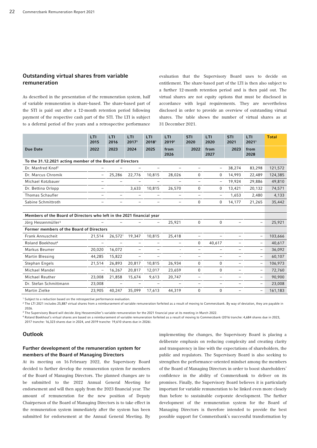#### Outstanding virtual shares from variable remuneration

As described in the presentation of the remuneration system, half of variable remuneration is share-based. The share-based part of the STI is paid out after a 12-month retention period following payment of the respective cash part of the STI. The LTI is subject to a deferral period of five years and a retrospective performance

evaluation that the Supervisory Board uses to decide on entitlement. The share-based part of the LTI is then also subject to a further 12-month retention period and is then paid out. The virtual shares are not equity options that must be disclosed in accordance with legal requirements. They are nevertheless disclosed in order to provide an overview of outstanding virtual shares. The table shows the number of virtual shares as at 31 December 2021.

|                                                                       | LTI<br>2015              | LTI<br>2016 | LTI<br>20171 | LTI<br>20181             | LTI<br>20191             | <b>STI</b><br>2020       | LTI<br>2020              | <b>STI</b><br>2021       | <b>LTI</b><br>20211      | <b>Total</b> |
|-----------------------------------------------------------------------|--------------------------|-------------|--------------|--------------------------|--------------------------|--------------------------|--------------------------|--------------------------|--------------------------|--------------|
| Due Date                                                              | 2022                     | 2023        | 2024         | 2025                     | from<br>2026             | 2022                     | from<br>2027             | 2023                     | from<br>2028             |              |
| To the 31.12.2021 acting member of the Board of Directors             |                          |             |              |                          |                          |                          |                          |                          |                          |              |
| Dr. Manfred Knof <sup>2</sup>                                         |                          |             |              |                          |                          | $\overline{\phantom{0}}$ | $\overline{\phantom{0}}$ | 38,274                   | 83,298                   | 121,572      |
| Dr. Marcus Chromik                                                    |                          | 25,286      | 22,776       | 10,815                   | 28,026                   | 0                        | 0                        | 14,993                   | 22,489                   | 124,385      |
| Michael Kotzbauer                                                     | $\qquad \qquad$          |             |              | $\equiv$                 | $\overline{\phantom{0}}$ | $\overline{\phantom{m}}$ | $\overline{\phantom{a}}$ | 19,924                   | 29,886                   | 49,810       |
| Dr. Bettina Orlopp                                                    | $\overline{\phantom{0}}$ |             | 3,633        | 10,815                   | 26,570                   | 0                        | $\Omega$                 | 13,421                   | 20,132                   | 74,571       |
| <b>Thomas Schaufler</b>                                               |                          |             |              | $\overline{\phantom{0}}$ | $\overline{\phantom{0}}$ | $=$                      | $\overline{\phantom{0}}$ | 1,653                    | 2,480                    | 4,133        |
| Sabine Schmittroth                                                    |                          |             |              |                          |                          | 0                        | 0                        | 14,177                   | 21,265                   | 35,442       |
|                                                                       |                          |             |              |                          |                          |                          |                          |                          |                          |              |
| Members of the Board of Directors who left in the 2021 financial year |                          |             |              |                          |                          |                          |                          |                          |                          |              |
| Jörg Hessenmüller <sup>3</sup>                                        |                          |             |              |                          | 25,921                   | 0                        | 0                        |                          |                          | 25,921       |
| Former members of the Board of Directors                              |                          |             |              |                          |                          |                          |                          |                          |                          |              |
| Frank Annuscheit                                                      | 21,514                   | 26,5721     | 19,347       | 10,815                   | 25,418                   | $\overline{\phantom{0}}$ |                          |                          |                          | 103,666      |
| Roland Boekhout <sup>4</sup>                                          |                          |             |              | $\overline{\phantom{0}}$ | $\overline{\phantom{0}}$ | 0                        | 40,617                   |                          |                          | 40,617       |
| Markus Beumer                                                         | 20,020                   | 16,072      |              |                          |                          | $\overline{\phantom{0}}$ |                          |                          |                          | 36,092       |
| Martin Blessing                                                       | 44,285                   | 15,822      |              |                          |                          | $\overline{\phantom{0}}$ | $\overline{\phantom{0}}$ |                          |                          | 60,107       |
| Stephan Engels                                                        | 21,514                   | 26,893      | 20,817       | 10,815                   | 26,934                   | 0                        | 0                        | -                        | $\overline{\phantom{m}}$ | 106,973      |
| Michael Mandel                                                        | $\overline{\phantom{m}}$ | 16,267      | 20,817       | 12,017                   | 23,659                   | 0                        | $\mathbf 0$              | -                        | $\overline{\phantom{0}}$ | 72,760       |
| Michael Reuther                                                       | 23,008                   | 21,858      | 15,674       | 9,613                    | 20,747                   | $\overline{\phantom{0}}$ | $\overline{\phantom{0}}$ | $\overline{\phantom{0}}$ | $\overline{\phantom{m}}$ | 90,900       |
| Dr. Stefan Schmittmann                                                | 23,008                   |             |              | $\overline{\phantom{0}}$ |                          | $\overline{\phantom{0}}$ | $\overline{\phantom{0}}$ | $\overline{\phantom{0}}$ |                          | 23,008       |
| Martin Zielke                                                         | 23,905                   | 40,247      | 35,099       | 17,613                   | 44,319                   | 0                        | 0                        |                          |                          | 161,183      |

<sup>1</sup> Subiect to a reduction based on the retrospective performance evaluation.

<sup>2</sup> The LTI 2021 includes 25,887 virtual shares from a reimbursement of variable remuneration forfeited as a result of moving to Commerzbank. By way of deviation, they are payable in 2026.

<sup>3</sup> The Supervisory Board will decide Jörg Hessenmüller's variable remuneration for the 2021 financial year at its meeting in March 2022.

4 Roland Boekhout's virtual shares are based on a reimbursement of variable remuneration forfeited as a result of moving to Commerzbank (2016 tranche: 4,684 shares due in 2023, 2017 tranche: 16,323 shares due in 2024, and 2019 tranche: 19,610 shares due in 2026).

#### **Outlook**

#### Further development of the remuneration system for members of the Board of Managing Directors

At its meeting on 16 February 2022, the Supervisory Board decided to further develop the remuneration system for members of the Board of Managing Directors. The planned changes are to be submitted to the 2022 Annual General Meeting for endorsement and will then apply from the 2023 financial year. The amount of remuneration for the new position of Deputy Chairperson of the Board of Managing Directors is to take effect in the remuneration system immediately after the system has been submitted for endorsement at the Annual General Meeting. By

implementing the changes, the Supervisory Board is placing a deliberate emphasis on reducing complexity and creating clarity and transparency in line with the expectations of shareholders, the public and regulators. The Supervisory Board is also seeking to strengthen the performance-oriented mindset among the members of the Board of Managing Directors in order to boost shareholders' confidence in the ability of Commerzbank to deliver on its promises. Finally, the Supervisory Board believes it is particularly important for variable remuneration to be linked even more closely than before to sustainable corporate development. The further development of the remuneration system for the Board of Managing Directors is therefore intended to provide the best possible support for Commerzbank's successful transformation by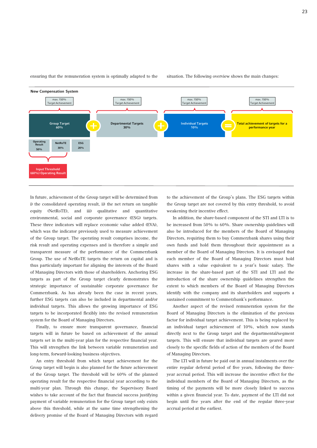

ensuring that the remuneration system is optimally adapted to the situation. The following overview shows the main changes:

In future, achievement of the Group target will be determined from i) the consolidated operating result, ii) the net return on tangible equity (NetRoTE), and iii) qualitative and quantitative environmental, social and corporate governance (ESG) targets. These three indicators will replace economic value added (EVA), which was the indicator previously used to measure achievement of the Group target. The operating result comprises income, the risk result and operating expenses and is therefore a simple and transparent measure of the performance of the Commerzbank Group. The use of NetRoTE targets the return on capital and is thus particularly important for aligning the interests of the Board of Managing Directors with those of shareholders. Anchoring ESG targets as part of the Group target clearly demonstrates the strategic importance of sustainable corporate governance for Commerzbank. As has already been the case in recent years, further ESG targets can also be included in departmental and/or individual targets. This allows the growing importance of ESG targets to be incorporated flexibly into the revised remuneration system for the Board of Managing Directors.

Finally, to ensure more transparent governance, financial targets will in future be based on achievement of the annual targets set in the multi-year plan for the respective financial year. This will strengthen the link between variable remuneration and long-term, forward-looking business objectives.

An entry threshold from which target achievement for the Group target will begin is also planned for the future achievement of the Group target. The threshold will be 60% of the planned operating result for the respective financial year according to the multi-year plan. Through this change, the Supervisory Board wishes to take account of the fact that financial success justifying payment of variable remuneration for the Group target only exists above this threshold, while at the same time strengthening the delivery promise of the Board of Managing Directors with regard

to the achievement of the Group's plans. The ESG targets within the Group target are not covered by this entry threshold, to avoid weakening their incentive effect.

In addition, the share-based component of the STI and LTI is to be increased from 50% to 60%. Share ownership guidelines will also be introduced for the members of the Board of Managing Directors, requiring them to buy Commerzbank shares using their own funds and hold them throughout their appointment as a member of the Board of Managing Directors. It is envisaged that each member of the Board of Managing Directors must hold shares with a value equivalent to a year's basic salary. The increase in the share-based part of the STI and LTI and the introduction of the share ownership guidelines strengthen the extent to which members of the Board of Managing Directors identify with the company and its shareholders and supports a sustained commitment to Commerzbank's performance.

Another aspect of the revised remuneration system for the Board of Managing Directors is the elimination of the previous factor for individual target achievement. This is being replaced by an individual target achievement of 10%, which now stands directly next to the Group target and the departmental/segment targets. This will ensure that individual targets are geared more closely to the specific fields of action of the members of the Board of Managing Directors.

The LTI will in future be paid out in annual instalments over the entire regular deferral period of five years, following the threeyear accrual period. This will increase the incentive effect for the individual members of the Board of Managing Directors, as the timing of the payments will be more closely linked to success within a given financial year. To date, payment of the LTI did not begin until five years after the end of the regular three-year accrual period at the earliest.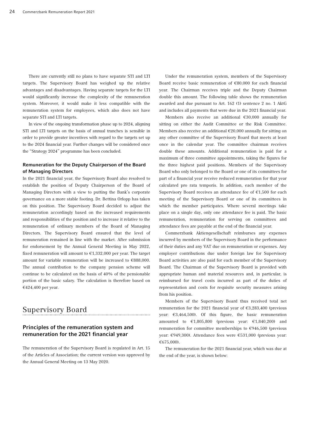There are currently still no plans to have separate STI and LTI targets. The Supervisory Board has weighed up the relative advantages and disadvantages. Having separate targets for the LTI would significantly increase the complexity of the remuneration system. Moreover, it would make it less compatible with the remuneration system for employees, which also does not have separate STI and LTI targets.

In view of the ongoing transformation phase up to 2024, aligning STI and LTI targets on the basis of annual tranches is sensible in order to provide greater incentives with regard to the targets set up to the 2024 financial year. Further changes will be considered once the "Strategy 2024" programme has been concluded.

#### Remuneration for the Deputy Chairperson of the Board of Managing Directors

In the 2021 financial year, the Supervisory Board also resolved to establish the position of Deputy Chairperson of the Board of Managing Directors with a view to putting the Bank's corporate governance on a more stable footing. Dr. Bettina Orlopp has taken on this position. The Supervisory Board decided to adjust the remuneration accordingly based on the increased requirements and responsibilities of the position and to increase it relative to the remuneration of ordinary members of the Board of Managing Directors. The Supervisory Board ensured that the level of remuneration remained in line with the market. After submission for endorsement by the Annual General Meeting in May 2022, fixed remuneration will amount to  $\epsilon$ 1,332,000 per year. The target amount for variable remuneration will be increased to €888,000. The annual contribution to the company pension scheme will continue to be calculated on the basis of 40% of the pensionable portion of the basic salary. The calculation is therefore based on €424,400 per year.

### Supervisory Board

#### Principles of the remuneration system and remuneration for the 2021 financial year

The remuneration of the Supervisory Board is regulated in Art. 15 of the Articles of Association; the current version was approved by the Annual General Meeting on 13 May 2020.

Under the remuneration system, members of the Supervisory Board receive basic remuneration of €80,000 for each financial year. The Chairman receives triple and the Deputy Chairman double this amount. The following table shows the remuneration awarded and due pursuant to Art. 162 (1) sentence 2 no. 1 AktG and includes all payments that were due in the 2021 financial year.

Members also receive an additional €30,000 annually for sitting on either the Audit Committee or the Risk Committee. Members also receive an additional €20,000 annually for sitting on any other committee of the Supervisory Board that meets at least once in the calendar year. The committee chairman receives double these amounts. Additional remuneration is paid for a maximum of three committee appointments, taking the figures for the three highest paid positions. Members of the Supervisory Board who only belonged to the Board or one of its committees for part of a financial year receive reduced remuneration for that year calculated pro rata temporis. In addition, each member of the Supervisory Board receives an attendance fee of €1,500 for each meeting of the Supervisory Board or one of its committees in which the member participates. Where several meetings take place on a single day, only one attendance fee is paid. The basic remuneration, remuneration for serving on committees and attendance fees are payable at the end of the financial year.

Commerzbank Aktiengesellschaft reimburses any expenses incurred by members of the Supervisory Board in the performance of their duties and any VAT due on remuneration or expenses. Any employer contributions due under foreign law for Supervisory Board activities are also paid for each member of the Supervisory Board. The Chairman of the Supervisory Board is provided with appropriate human and material resources and, in particular, is reimbursed for travel costs incurred as part of the duties of representation and costs for requisite security measures arising from his position.

Members of the Supervisory Board thus received total net remuneration for the 2021 financial year of  $\epsilon$ 3,283,400 (previous year: €3,464,500). Of this figure, the basic remuneration amounted to  $\epsilon$ 1,805,800 (previous year:  $\epsilon$ 1,840,200) and remuneration for committee memberships to €946,500 (previous year: €949,300). Attendance fees were €531,000 (previous year:  $£675,000$ 

The remuneration for the 2021 financial year, which was due at the end of the year, is shown below: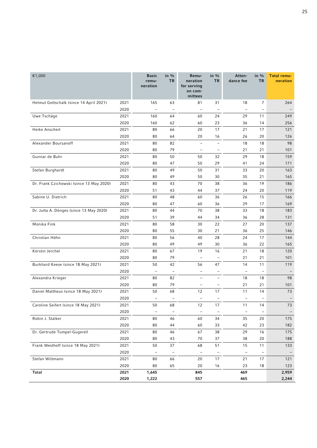| €1,000                                   |      | <b>Basic</b><br>remu-<br>neration | in $%$<br><b>TR</b> | Remu-<br>neration<br>for serving<br>on com-<br>mittees | in $%$<br><b>TR</b>      | Atten-<br>dance fee      | in $%$<br><b>TR</b>      | <b>Total remu-</b><br>neration |
|------------------------------------------|------|-----------------------------------|---------------------|--------------------------------------------------------|--------------------------|--------------------------|--------------------------|--------------------------------|
| Helmut Gottschalk (since 14 April 2021)  | 2021 | 165                               | 63                  | 81                                                     | 31                       | 18                       | 7                        | 264                            |
|                                          | 2020 | ÷.                                |                     | $\qquad \qquad -$                                      | $\qquad \qquad -$        | $\equiv$                 | $\overline{\phantom{0}}$ |                                |
| Uwe Tschäge                              | 2021 | 160                               | 64                  | 60                                                     | 24                       | 29                       | 11                       | 249                            |
|                                          | 2020 | 160                               | 62                  | 60                                                     | 23                       | 36                       | 14                       | 256                            |
| Heike Anscheit                           | 2021 | 80                                | 66                  | 20                                                     | 17                       | 21                       | 17                       | 121                            |
|                                          | 2020 | 80                                | 64                  | 20                                                     | 16                       | 26                       | 20                       | 126                            |
| Alexander Boursanoff                     | 2021 | 80                                | 82                  | $\qquad \qquad -$                                      | $\overline{\phantom{m}}$ | 18                       | 18                       | 98                             |
|                                          | 2020 | 80                                | 79                  | $\qquad \qquad -$                                      | $\qquad \qquad -$        | 21                       | 21                       | 101                            |
| Gunnar de Buhr                           | 2021 | 80                                | 50                  | 50                                                     | 32                       | 29                       | 18                       | 159                            |
|                                          | 2020 | 80                                | 47                  | 50                                                     | 29                       | 41                       | 24                       | 171                            |
| Stefan Burghardt                         | 2021 | 80                                | 49                  | 50                                                     | 31                       | 33                       | 20                       | 163                            |
|                                          | 2020 | 80                                | 49                  | 50                                                     | 30                       | 35                       | 21                       | 165                            |
| Dr. Frank Czichowski (since 13 May 2020) | 2021 | 80                                | 43                  | 70                                                     | 38                       | 36                       | 19                       | 186                            |
|                                          | 2020 | 51                                | 43                  | 44                                                     | 37                       | 24                       | 20                       | 119                            |
| Sabine U. Dietrich                       | 2021 | 80                                | 48                  | 60                                                     | 36                       | 26                       | 15                       | 166                            |
|                                          | 2020 | 80                                | 47                  | 60                                                     | 36                       | 29                       | 17                       | 169                            |
| Dr. Jutta A. Dönges (since 13 May 2020)  | 2021 | 80                                | 44                  | 70                                                     | 38                       | 33                       | 18                       | 183                            |
|                                          | 2020 | 51                                | 39                  | 44                                                     | 34                       | 36                       | 28                       | 131                            |
| Monika Fink                              | 2021 | 80                                | 58                  | 30                                                     | 22                       | 27                       | 20                       | 137                            |
|                                          | 2020 | 80                                | 55                  | 30                                                     | 21                       | 36                       | 25                       | 146                            |
| Christian Höhn                           | 2021 | 80                                | 56                  | 40                                                     | 28                       | 24                       | 17                       | 144                            |
|                                          | 2020 | 80                                | 49                  | 49                                                     | 30                       | 36                       | 22                       | 165                            |
| Kerstin Jerchel                          | 2021 | 80                                | 67                  | 19                                                     | 16                       | 21                       | 18                       | 120                            |
|                                          | 2020 | 80                                | 79                  | $\qquad \qquad -$                                      | $\overline{\phantom{a}}$ | 21                       | 21                       | 101                            |
| Burkhard Keese (since 18 May 2021)       | 2021 | 50                                | 42                  | 56                                                     | 47                       | 14                       | 11                       | 119                            |
|                                          | 2020 | $\overline{\phantom{a}}$          | $\qquad \qquad -$   | -                                                      |                          | $\qquad \qquad -$        | -                        |                                |
| Alexandra Krieger                        | 2021 | 80                                | 82                  | $\overline{\phantom{0}}$                               | $\equiv$                 | 18                       | 18                       | 98                             |
|                                          | 2020 | 80                                | 79                  | $\overline{\phantom{0}}$                               | $\overline{\phantom{0}}$ | 21                       | 21                       | 101                            |
| Daniel Mattheus (since 18 May 2021)      | 2021 | 50                                | 68                  | 12                                                     | 17                       | 11                       | 14                       | 73                             |
|                                          | 2020 |                                   |                     |                                                        |                          |                          |                          |                                |
| Caroline Seifert (since 18 May 2021)     | 2021 | 50                                | 68                  | 12                                                     | 17                       | 11                       | 14                       | 73                             |
|                                          | 2020 | $\overline{\phantom{a}}$          | $\qquad \qquad -$   | $\qquad \qquad -$                                      | $\qquad \qquad -$        | $\overline{\phantom{0}}$ |                          | $\overline{\phantom{a}}$       |
| Robin J. Stalker                         | 2021 | 80                                | 46                  | 60                                                     | 34                       | 35                       | 20                       | 175                            |
|                                          | 2020 | 80                                | 44                  | 60                                                     | 33                       | 42                       | 23                       | 182                            |
| Dr. Gertrude Tumpel-Gugerell             | 2021 | 80                                | 46                  | 67                                                     | 38                       | 29                       | 16                       | 175                            |
|                                          | 2020 | 80                                | 43                  | 70                                                     | 37                       | 38                       | 20                       | 188                            |
| Frank Westhoff (since 18 May 2021)       | 2021 | 50                                | 37                  | 68                                                     | 51                       | 15                       | 11                       | 133                            |
|                                          | 2020 |                                   |                     | $\qquad \qquad -$                                      | $\qquad \qquad -$        | $\overline{\phantom{0}}$ | $\qquad \qquad -$        |                                |
| Stefan Wittmann                          | 2021 | 80                                | 66                  | 20                                                     | 17                       | 21                       | 17                       | 121                            |
|                                          | 2020 | 80                                | 65                  | 20                                                     | 16                       | 23                       | 18                       | 123                            |
| <b>Total</b>                             | 2021 | 1,645                             |                     | 845                                                    |                          | 469                      |                          | 2,959                          |
|                                          | 2020 | 1,222                             |                     | 557                                                    |                          | 465                      |                          | 2,244                          |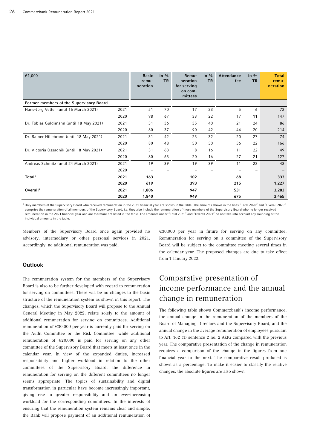| €1,000                                    |      | <b>Basic</b><br>remu-<br>neration | in $\%$<br><b>TR</b> | Remu-<br>neration<br>for serving<br>on com-<br>mittees | in $%$<br><b>TR</b> | Attendance<br>fee | in $%$<br><b>TR</b> | <b>Total</b><br>remu-<br>neration |
|-------------------------------------------|------|-----------------------------------|----------------------|--------------------------------------------------------|---------------------|-------------------|---------------------|-----------------------------------|
| Former members of the Supervisory Board   |      |                                   |                      |                                                        |                     |                   |                     |                                   |
| Hans-Jörg Vetter (until 16 March 2021)    | 2021 | 51                                | 70                   | 17                                                     | 23                  | 5                 | 6                   | 72                                |
|                                           | 2020 | 98                                | 67                   | 33                                                     | 22                  | 17                | 11                  | 147                               |
| Dr. Tobias Guldimann (until 18 May 2021)  | 2021 | 31                                | 36                   | 35                                                     | 40                  | 21                | 24                  | 86                                |
|                                           | 2020 | 80                                | 37                   | 90                                                     | 42                  | 44                | 20                  | 214                               |
| Dr. Rainer Hillebrand (until 18 May 2021) | 2021 | 31                                | 42                   | 23                                                     | 32                  | 20                | 27                  | 74                                |
|                                           | 2020 | 80                                | 48                   | 50                                                     | 30                  | 36                | 22                  | 166                               |
| Dr. Victoria Ossadnik (until 18 May 2021) | 2021 | 31                                | 63                   | 8                                                      | 16                  | 11                | 22                  | 49                                |
|                                           | 2020 | 80                                | 63                   | 20                                                     | 16                  | 27                | 21                  | 127                               |
| Andreas Schmitz (until 24 March 2021)     | 2021 | 19                                | 39                   | 19                                                     | 39                  | 11                | 22                  | 48                                |
|                                           | 2020 |                                   |                      |                                                        |                     |                   | -                   |                                   |
| Total <sup>1</sup>                        | 2021 | 163                               |                      | 102                                                    |                     | 68                |                     | 333                               |
|                                           | 2020 | 619                               |                      | 393                                                    |                     | 215               |                     | 1,227                             |
| Overall <sup>1</sup>                      | 2021 | 1,806                             |                      | 947                                                    |                     | 531               |                     | 3,283                             |
|                                           | 2020 | 1,840                             |                      | 949                                                    |                     | 675               |                     | 3,465                             |

1 Only members of the Supervisory Board who received remuneration in the 2021 financial year are shown in the table. The amounts shown in the lines "Total 2020" and "Overall 2020" comprise the remuneration of all members of the Supervisory Board, i.e. they also include the remuneration of those members of the Supervisory Board who no longer received remuneration in the 2021 financial year and are therefore not listed in the table. The amounts under "Total 2021" and "Overall 2021" do not take into account any rounding of the individual amounts in the table.

Members of the Supervisory Board once again provided no advisory, intermediary or other personal services in 2021. Accordingly, no additional remuneration was paid.

#### **Outlook**

The remuneration system for the members of the Supervisory Board is also to be further developed with regard to remuneration for serving on committees. There will be no changes to the basic structure of the remuneration system as shown in this report. The changes, which the Supervisory Board will propose to the Annual General Meeting in May 2022, relate solely to the amount of additional remuneration for serving on committees. Additional remuneration of €30,000 per year is currently paid for serving on the Audit Committee or the Risk Committee, while additional remuneration of €20,000 is paid for serving on any other committee of the Supervisory Board that meets at least once in the calendar year. In view of the expanded duties, increased responsibility and higher workload in relation to the other committees of the Supervisory Board, the difference in remuneration for serving on the different committees no longer seems appropriate. The topics of sustainability and digital transformation in particular have become increasingly important, giving rise to greater responsibility and an ever-increasing workload for the corresponding committees. In the interests of ensuring that the remuneration system remains clear and simple, the Bank will propose payment of an additional remuneration of

€30,000 per year in future for serving on any committee. Remuneration for serving on a committee of the Supervisory Board will be subject to the committee meeting several times in the calendar year. The proposed changes are due to take effect from 1 January 2022.

# Comparative presentation of income performance and the annual change in remuneration

The following table shows Commerzbank's income performance, the annual change in the remuneration of the members of the Board of Managing Directors and the Supervisory Board, and the annual change in the average remuneration of employees pursuant to Art. 162 (1) sentence 2 no. 2 AktG compared with the previous year. The comparative presentation of the change in remuneration requires a comparison of the change in the figures from one financial year to the next. The comparative result produced is shown as a percentage. To make it easier to classify the relative changes, the absolute figures are also shown.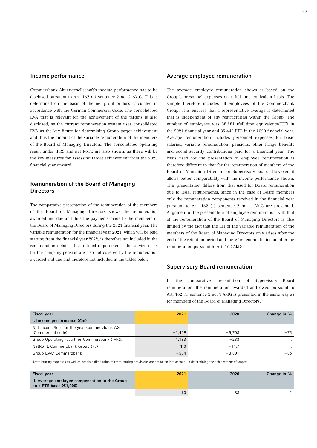#### Income performance

Commerzbank Aktiengesellschaft's income performance has to be disclosed pursuant to Art. 162 (1) sentence 2 no. 2 AktG. This is determined on the basis of the net profit or loss calculated in accordance with the German Commercial Code. The consolidated EVA that is relevant for the achievement of the targets is also disclosed, as the current remuneration system uses consolidated EVA as the key figure for determining Group target achievement and thus the amount of the variable remuneration of the members of the Board of Managing Directors. The consolidated operating result under IFRS and net RoTE are also shown, as these will be the key measures for assessing target achievement from the 2023 financial year onward.

#### Remuneration of the Board of Managing **Directors**

The comparative presentation of the remuneration of the members of the Board of Managing Directors shows the remuneration awarded and due and thus the payments made to the members of the Board of Managing Directors during the 2021 financial year. The variable remuneration for the financial year 2021, which will be paid starting from the financial year 2022, is therefore not included in the remuneration details. Due to legal requirements, the service costs for the company pension are also not covered by the remuneration awarded and due and therefore not included in the tables below.

#### Average employee remuneration

The average employee remuneration shown is based on the Group's personnel expenses on a full-time equivalent basis. The sample therefore includes all employees of the Commerzbank Group. This ensures that a representative average is determined that is independent of any restructuring within the Group. The number of employees was 38,281 (full-time equivalents/FTE) in the 2021 financial year and 39,445 FTE in the 2020 financial year. Average remuneration includes personnel expenses for basic salaries, variable remuneration, pensions, other fringe benefits and social security contributions paid for a financial year. The basis used for the presentation of employee remuneration is therefore different to that for the remuneration of members of the Board of Managing Directors or Supervisory Board. However, it allows better comparability with the income performance shown. This presentation differs from that used for Board remuneration due to legal requirements, since in the case of Board members only the remuneration components received in the financial year pursuant to Art. 162 (1) sentence 2 no. 1 AktG are presented. Alignment of the presentation of employee remuneration with that of the remuneration of the Board of Managing Directors is also limited by the fact that the LTI of the variable remuneration of the members of the Board of Managing Directors only arises after the end of the retention period and therefore cannot be included in the remuneration pursuant to Art. 162 AktG.

#### Supervisory Board remuneration

In the comparative presentation of Supervisory Board remuneration, the remuneration awarded and owed pursuant to Art. 162 (1) sentence 2 no. 1 AktG is presented in the same way as for members of the Board of Managing Directors.

| <b>Fiscal year</b>                                               | 2021     | 2020     | Change in % |
|------------------------------------------------------------------|----------|----------|-------------|
| I. Income performance $(\epsilon m)$                             |          |          |             |
| Net income/loss for the year Commerzbank AG<br>(Commercial code) | $-1.409$ | $-5.708$ | $-75$       |
| Group Operating result for Commerzbank (IFRS)                    | 1.183    | $-233$   |             |
| NetRoTE Commerzbank Group (%)                                    | 1.0      | $-11.7$  |             |
| Group EVA <sup>1</sup> Commerzbank                               | $-534$   | $-3.801$ | -86         |

 $<sup>1</sup>$  Restructuring expenses as well as possible dissolution of restructuring provisions are not taken into account in determining the achievement of targets.</sup>

| <b>Fiscal year</b>                                                          | 2021 | 2020 | Change in % |
|-----------------------------------------------------------------------------|------|------|-------------|
| II. Average employee compensation in the Group<br>on a FTE basis $(£1,000)$ |      |      |             |
|                                                                             | 90   | 88   |             |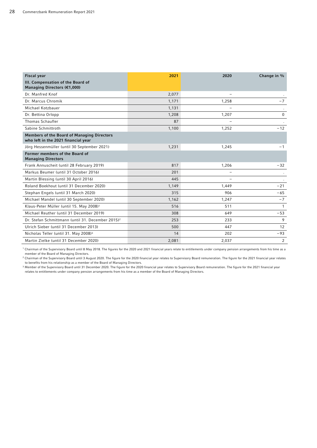| <b>Fiscal year</b>                                                                       | 2021  | 2020                     | Change in %    |
|------------------------------------------------------------------------------------------|-------|--------------------------|----------------|
| III. Compensation of the Board of<br>Managing Directors (€1,000)                         |       |                          |                |
| Dr. Manfred Knof                                                                         | 2,077 | $\overline{\phantom{m}}$ |                |
| Dr. Marcus Chromik                                                                       | 1,171 | 1,258                    | $-7$           |
| Michael Kotzbauer                                                                        | 1,131 |                          |                |
| Dr. Bettina Orlopp                                                                       | 1,208 | 1,207                    | 0              |
| <b>Thomas Schaufler</b>                                                                  | 87    |                          |                |
| Sabine Schmittroth                                                                       | 1,100 | 1,252                    | $-12$          |
| <b>Members of the Board of Managing Directors</b><br>who left in the 2021 financial year |       |                          |                |
| Jörg Hessenmüller (until 30 September 2021)                                              | 1,231 | 1,245                    | $-1$           |
| Former members of the Board of<br><b>Managing Directors</b>                              |       |                          |                |
| Frank Annuscheit (until 28 February 2019)                                                | 817   | 1,206                    | $-32$          |
| Markus Beumer (until 31 October 2016)                                                    | 201   |                          |                |
| Martin Blessing (until 30 April 2016)                                                    | 445   |                          |                |
| Roland Boekhout (until 31 December 2020)                                                 | 1,149 | 1,449                    | $-21$          |
| Stephan Engels (until 31 March 2020)                                                     | 315   | 906                      | $-65$          |
| Michael Mandel (until 30 September 2020)                                                 | 1,162 | 1,247                    | $-7$           |
| Klaus-Peter Müller (until 15. May 2008) <sup>1</sup>                                     | 516   | 511                      | $\mathbf{1}$   |
| Michael Reuther (until 31 December 2019)                                                 | 308   | 649                      | $-53$          |
| Dr. Stefan Schmittmann (until 31. December 2015) <sup>2</sup>                            | 253   | 233                      | 9              |
| Ulrich Sieber (until 31 December 2013)                                                   | 500   | 447                      | 12             |
| Nicholas Teller (until 31. May 2008) <sup>3</sup>                                        | 14    | 202                      | $-93$          |
| Martin Zielke (until 31 December 2020)                                                   | 2,081 | 2,037                    | $\overline{2}$ |

<sup>1</sup> Chairman of the Supervisory Board until 8 May 2018. The figures for the 2020 and 2021 financial years relate to entitlements under company pension arrangements from his time as a member of the Board of Managing Directors.

<sup>2</sup> Chairman of the Supervisory Board until 3 August 2020. The figure for the 2020 financial year relates to Supervisory Board remuneration. The figure for the 2021 financial year relates to benefits from his relationship as a member of the Board of Managing Directors.

<sup>3</sup> Member of the Supervisory Board until 31 December 2020. The figure for the 2020 financial year relates to Supervisory Board remuneration. The figure for the 2021 financial year relates to entitlements under company pension arrangements from his time as a member of the Board of Managing Directors.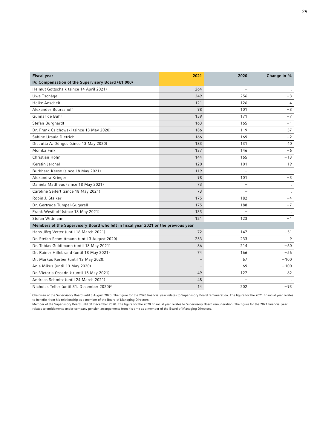| <b>Fiscal year</b>                                                                 | 2021                     | 2020                     | Change in % |
|------------------------------------------------------------------------------------|--------------------------|--------------------------|-------------|
| IV. Compensation of the Supervisory Board (€1,000)                                 |                          |                          |             |
| Helmut Gottschalk (since 14 April 2021)                                            | 264                      |                          |             |
| Uwe Tschäge                                                                        | 249                      | 256                      | $-3$        |
| Heike Anscheit                                                                     | 121                      | 126                      | $-4$        |
| Alexander Boursanoff                                                               | 98                       | 101                      | -3          |
| Gunnar de Buhr                                                                     | 159                      | 171                      | $-7$        |
| Stefan Burghardt                                                                   | 163                      | 165                      | $-1$        |
| Dr. Frank Czichowski (since 13 May 2020)                                           | 186                      | 119                      | 57          |
| Sabine Ursula Dietrich                                                             | 166                      | 169                      | $-2$        |
| Dr. Jutta A. Dönges (since 13 May 2020)                                            | 183                      | 131                      | 40          |
| Monika Fink                                                                        | 137                      | 146                      | -6          |
| Christian Höhn                                                                     | 144                      | 165                      | $-13$       |
| Kerstin Jerchel                                                                    | 120                      | 101                      | 19          |
| Burkhard Keese (since 18 May 2021)                                                 | 119                      |                          |             |
| Alexandra Krieger                                                                  | 98                       | 101                      | $-3$        |
| Daniela Mattheus (since 18 May 2021)                                               | 73                       | $\overline{\phantom{0}}$ |             |
| Caroline Seifert (since 18 May 2021)                                               | 73                       | L.                       | $\cdot$     |
| Robin J. Stalker                                                                   | 175                      | 182                      | $-4$        |
| Dr. Gertrude Tumpel-Gugerell                                                       | 175                      | 188                      | $-7$        |
| Frank Westhoff (since 18 May 2021)                                                 | 133                      | $\qquad \qquad -$        |             |
| Stefan Wittmann                                                                    | 121                      | 123                      | $-1$        |
| Members of the Supervisory Board who left in fiscal year 2021 or the previous year |                          |                          |             |
| Hans-Jörg Vetter (until 16 March 2021)                                             | 72                       | 147                      | $-51$       |
| Dr. Stefan Schmittmann (until 3 August 2020) <sup>1</sup>                          | 253                      | 233                      | 9           |
| Dr. Tobias Guldimann (until 18 May 2021)                                           | 86                       | 214                      | $-60$       |
| Dr. Rainer Hillebrand (until 18 May 2021)                                          | 74                       | 166                      | $-56$       |
| Dr. Markus Kerber (until 13 May 2020)                                              | $\qquad \qquad -$        | 67                       | $-100$      |
| Anja Mikus (until 13 May 2020)                                                     | $\overline{\phantom{0}}$ | 69                       | $-100$      |
| Dr. Victoria Ossadnik (until 18 May 2021)                                          | 49                       | 127                      | $-62$       |
| Andreas Schmitz (until 24 March 2021)                                              | 48                       | $\overline{\phantom{0}}$ |             |
| Nicholas Teller (until 31. December 2020) <sup>2</sup>                             | 14                       | 202                      | -93         |

1 Chairman of the Supervisory Board until 3 August 2020. The figure for the 2020 financial year relates to Supervisory Board remuneration. The figure for the 2021 financial year relates to benefits from his relationship as a member of the Board of Managing Directors.

<sup>2</sup> Member of the Supervisory Board until 31 December 2020. The figure for the 2020 financial year relates to Supervisory Board remuneration. The figure for the 2021 financial year relates to entitlements under company pension arrangements from his time as a member of the Board of Managing Directors.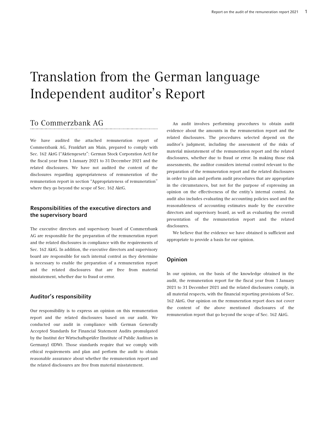# Translation from the German language Independent auditor's Report

## To Commerzbank AG

We have audited the attached remuneration report of Commerzbank AG, Frankfurt am Main, prepared to comply with Sec. 162 AktG ["Aktiengesetz": German Stock Corporation Act] for the fiscal year from 1 January 2021 to 31 December 2021 and the related disclosures. We have not audited the content of the disclosures regarding appropriateness of remuneration of the remuneration report in section "Appropriateness of remuneration" where they go beyond the scope of Sec. 162 AktG.

#### Responsibilities of the executive directors and the supervisory board

The executive directors and supervisory board of Commerzbank AG are responsible for the preparation of the remuneration report and the related disclosures in compliance with the requirements of Sec. 162 AktG. In addition, the executive directors and supervisory board are responsible for such internal control as they determine is necessary to enable the preparation of a remuneration report and the related disclosures that are free from material misstatement, whether due to fraud or error.

#### Auditor's responsibility

Our responsibility is to express an opinion on this remuneration report and the related disclosures based on our audit. We conducted our audit in compliance with German Generally Accepted Standards for Financial Statement Audits promulgated by the Institut der Wirtschaftsprüfer [Institute of Public Auditors in Germany] (IDW). Those standards require that we comply with ethical requirements and plan and perform the audit to obtain reasonable assurance about whether the remuneration report and the related disclosures are free from material misstatement.

An audit involves performing procedures to obtain audit evidence about the amounts in the remuneration report and the related disclosures. The procedures selected depend on the auditor's judgment, including the assessment of the risks of material misstatement of the remuneration report and the related disclosures, whether due to fraud or error. In making those risk assessments, the auditor considers internal control relevant to the preparation of the remuneration report and the related disclosures in order to plan and perform audit procedures that are appropriate in the circumstances, but not for the purpose of expressing an opinion on the effectiveness of the entity's internal control. An audit also includes evaluating the accounting policies used and the reasonableness of accounting estimates made by the executive directors and supervisory board, as well as evaluating the overall presentation of the remuneration report and the related disclosures.

We believe that the evidence we have obtained is sufficient and appropriate to provide a basis for our opinion.

#### Opinion

In our opinion, on the basis of the knowledge obtained in the audit, the remuneration report for the fiscal year from 1 January 2021 to 31 December 2021 and the related disclosures comply, in all material respects, with the financial reporting provisions of Sec. 162 AktG. Our opinion on the remuneration report does not cover the content of the above mentioned disclosures of the remuneration report that go beyond the scope of Sec. 162 AktG.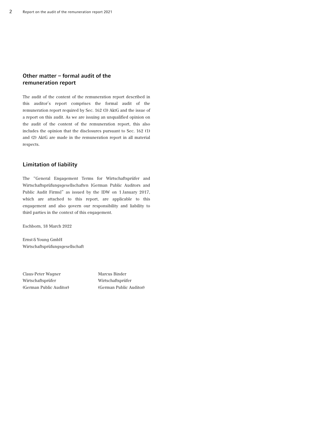#### Other matter – formal audit of the remuneration report

The audit of the content of the remuneration report described in this auditor's report comprises the formal audit of the remuneration report required by Sec. 162 (3) AktG and the issue of a report on this audit. As we are issuing an unqualified opinion on the audit of the content of the remuneration report, this also includes the opinion that the disclosures pursuant to Sec. 162 (1) and (2) AktG are made in the remuneration report in all material respects.

#### Limitation of liability

The "General Engagement Terms for Wirtschaftsprüfer and Wirtschaftsprüfungsgesellschaften [German Public Auditors and Public Audit Firms]" as issued by the IDW on 1 January 2017, which are attached to this report, are applicable to this engagement and also govern our responsibility and liability to third parties in the context of this engagement.

Eschborn, 18 March 2022

Ernst&Young GmbH Wirtschaftsprüfungsgesellschaft

Claus-Peter Wagner Marcus Binder Wirtschaftsprüfer Wirtschaftsprüfer (German Public Auditor) (German Public Auditor)